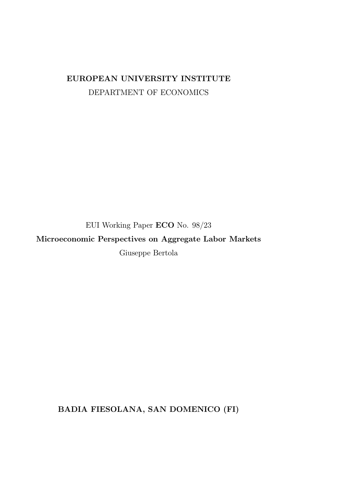## EUROPEAN UNIVERSITY INSTITUTE DEPARTMENT OF ECONOMICS

EUI Working Paper ECO No. 98/23

Microeconomic Perspectives on Aggregate Labor Markets

Giuseppe Bertola

BADIA FIESOLANA, SAN DOMENICO (FI)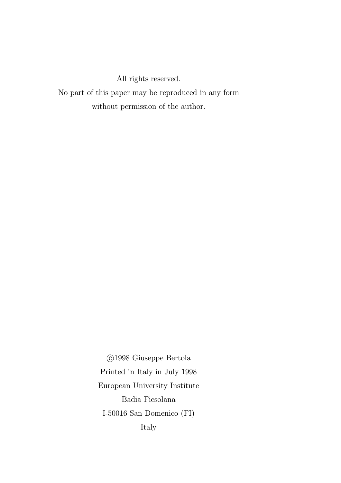All rights reserved.

No part of this paper may be reproduced in any form without permission of the author.

> °c 1998 Giuseppe Bertola Printed in Italy in July 1998 European University Institute Badia Fiesolana I-50016 San Domenico (FI) Italy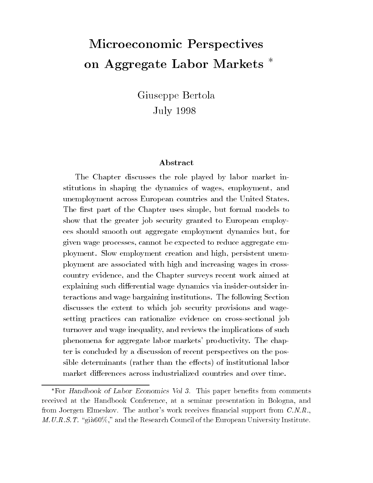# Microeconomic Perspectives on Aggregate Labor Markets

Giuseppe Bertola July 1998

### Abstract

The Chapter discusses the role played by labor market institutions in shaping the dynamics of wages, employment, andunemployment across European countries and the United States.The first part of the Chapter uses simple, but formal models to show that the greater job security granted to European employees should smooth out aggregate employment dynamics but, forgiven wage processes, cannot be expected to reduce aggregate employment. Slow employment creation and high, persistent unemployment are associated with high and increasing wages in crosscountry evidence, and the Chapter surveys recent work aimed atexplaining such differential wage dynamics via insider-outsider interactions and wage bargaining institutions. The following Sectiondiscusses the extent to which job security provisions and wagesetting practices can rationalize evidence on cross-sectional jobturnover and wage inequality, and reviews the implications of suchphenomena for aggregate labor markets' productivity. The chapter is concluded by a discussion of recent perspectives on the possible determinants (rather than the effects) of institutional labor market differences across industrialized countries and over time.

<sup>\*</sup>For Handbook of Labor Economics Vol 3. This paper benefits from comments received at the Handbook Conference, at a seminar presentation in Bologna, and from Joergen Elmeskov. The author's work receives financial support from  $C.N.R.,$  $M.U.R.S.T.$  "già $60\%,$ " and the Research Council of the European University Institute.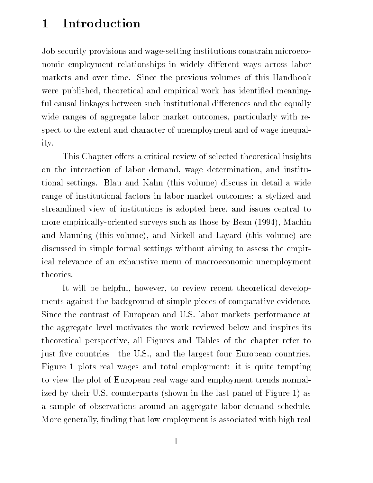### **Introduction** 1

Job security provisions and wage-setting institutions constrain microeconomic employment relationships in widely different ways across labor markets and over time. Since the previous volumes of this Handbook were published, theoretical and empirical work has identified meaningful causal linkages between such institutional differences and the equally wide ranges of aggregate labor market outcomes, particularly with respect to the extent and character of unemployment and of wage inequality.

This Chapter offers a critical review of selected theoretical insights on the interaction of labor demand, wage determination, and institutional settings. Blau and Kahn (this volume) discuss in detail a wide range of institutional factors in labor market outcomes; a stylized and streamlined view of institutions is adopted here, and issues central to more empirically-oriented surveys such as those by Bean (1994), Machin and Manning (this volume), and Nickell and Layard (this volume) are discussed in simple formal settings without aiming to assess the empirical relevance of an exhaustive menu of macroeconomic unemployment theories.

It will be helpful, however, to review recent theoretical developments against the background of simple pieces of comparative evidence. Since the contrast of European and U.S. labor markets performance at the aggregate level motivates the work reviewed below and inspires its theoretical perspective, all Figures and Tables of the chapter refer to just five countries—the U.S., and the largest four European countries. Figure 1 plots real wages and total employment: it is quite tempting to view the plot of European real wage and employment trends normalized by their U.S. counterparts (shown in the last panel of Figure 1) as a sample of observations around an aggregate labor demand schedule. More generally, finding that low employment is associated with high real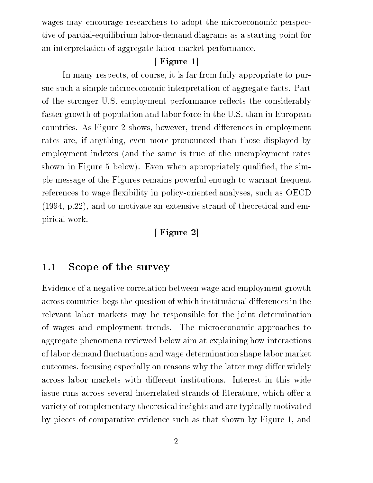wages may encourage researchers to adopt the microeconomic perspective of partial-equilibrium labor-demand diagrams as a starting point for an interpretation of aggregate labor market performance.

### [ Figure 1]

In many respects, of course, it is far from fully appropriate to pursue such a simple microeconomic interpretation of aggregate facts. Part of the stronger U.S. employment performance reflects the considerably faster growth of population and labor force in the U.S. than in European countries. As Figure 2 shows, however, trend differences in employment rates are, if anything, even more pronounced than those displayed by employment indexes (and the same is true of the unemployment rates shown in Figure 5 below). Even when appropriately qualied, the simple message of the Figures remains powerful enough to warrant frequent references to wage flexibility in policy-oriented analyses, such as OECD (1994, p.22), and to motivate an extensive strand of theoretical and empirical work.

### [ Figure 2]

### 1.1 Scope of the survey

Evidence of a negative correlation between wage and employment growth across countries begs the question of which institutional differences in the relevant labor markets may be responsible for the joint determination of wages and employment trends. The microeconomic approaches to aggregate phenomena reviewed below aim at explaining how interactions of labor demand fluctuations and wage determination shape labor market outcomes, focusing especially on reasons why the latter may differ widely across labor markets with different institutions. Interest in this wide issue runs across several interrelated strands of literature, which offer a variety of complementary theoretical insights and are typically motivated by pieces of comparative evidence such as that shown by Figure 1, and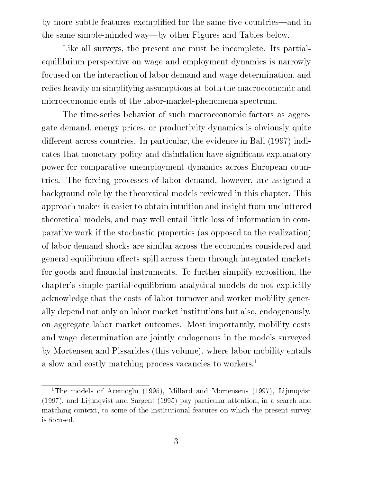by more subtle features exemplified for the same five countries—and in the same simple-minded way—by other Figures and Tables below.

Like all surveys, the present one must be incomplete. Its partialequilibrium perspective on wage and employment dynamics is narrowly focused on the interaction of labor demand and wage determination, and relies heavily on simplifying assumptions at both the macroeconomic and microeconomic ends of the labor-market-phenomena spectrum.

The time-series behavior of such macroeconomic factors as aggregate demand, energy prices, or productivity dynamics is obviously quite different across countries. In particular, the evidence in Ball (1997) indicates that monetary policy and disinflation have significant explanatory power for comparative unemployment dynamics across European countries. The forcing processes of labor demand, however, are assigned a background role by the theoretical models reviewed in this chapter. This approach makes it easier to obtain intuition and insight from uncluttered theoretical models, and may well entail little loss of information in comparative work if the stochastic properties (as opposed to the realization) of labor demand shocks are similar across the economies considered and general equilibrium effects spill across them through integrated markets for goods and financial instruments. To further simplify exposition, the chapter's simple partial-equilibrium analytical models do not explicitly acknowledge that the costs of labor turnover and worker mobility generally depend not only on labor market institutions but also, endogenously, on aggregate labor market outcomes. Most importantly, mobility costs and wage determination are jointly endogenous in the models surveyed by Mortensen and Pissarides (this volume), where labor mobility entails a slow and costly matching process vacancies to workers.<sup>1</sup>

<sup>&</sup>lt;sup>1</sup>The models of Acemoglu (1995), Millard and Mortensens (1997), Lijunqvist (1997), and Lijunqvist and Sargent (1995) pay particular attention, in a search and matching context, to some of the institutional features on which the present survey is focused.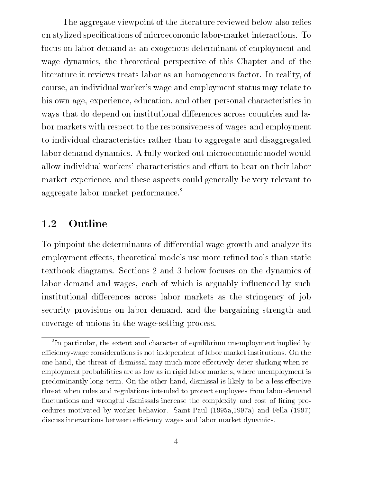The aggregate viewpoint of the literature reviewed below also relies on stylized specications of microeconomic labor-market interactions. To focus on labor demand as an exogenous determinant of employment and wage dynamics, the theoretical perspective of this Chapter and of the literature it reviews treats labor as an homogeneous factor. In reality, of course, an individual worker's wage and employment status may relate to his own age, experience, education, and other personal characteristics in ways that do depend on institutional differences across countries and labor markets with respect to the responsiveness of wages and employment to individual characteristics rather than to aggregate and disaggregated labor demand dynamics. A fully worked out microeconomic model would allow individual workers' characteristics and effort to bear on their labor market experience, and these aspects could generally be very relevant to aggregate labor market performance.<sup>2</sup>

## 1.2 Outline

To pinpoint the determinants of differential wage growth and analyze its employment effects, theoretical models use more refined tools than static textbook diagrams. Sections 2 and 3 below focuses on the dynamics of labor demand and wages, each of which is arguably influenced by such institutional differences across labor markets as the stringency of job security provisions on labor demand, and the bargaining strength and coverage of unions in the wage-setting process.

<sup>2</sup> In particular, the extent and character of equilibrium unemployment implied by efficiency-wage considerations is not independent of labor market institutions. On the one hand, the threat of dismissal may much more effectively deter shirking when reemployment probabilities are as low as in rigid labor markets, where unemployment is predominantly long-term. On the other hand, dismissal is likely to be a less effective threat when rules and regulations intended to protect employees from labor-demand fluctuations and wrongful dismissals increase the complexity and cost of firing procedures motivated by worker behavior. Saint-Paul (1995a,1997a) and Fella (1997) discuss interactions between efficiency wages and labor market dynamics.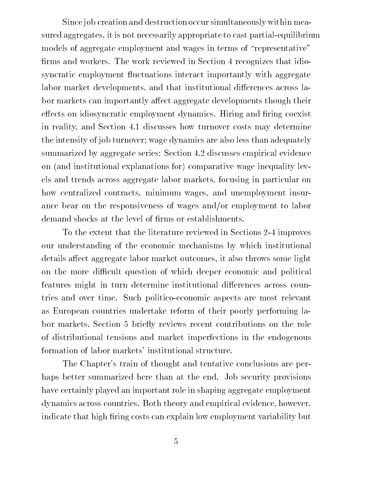Since job creation and destruction occur simultaneously within measured aggregates, it is not necessarily appropriate to cast partial-equilibrium models of aggregate employment and wages in terms of "representative" firms and workers. The work reviewed in Section 4 recognizes that idiosyncratic employment fluctuations interact importantly with aggregate labor market developments, and that institutional differences across labor markets can importantly affect aggregate developments though their effects on idiosyncratic employment dynamics. Hiring and firing coexist in reality, and Section 4.1 discusses how turnover costs may determine the intensity of job turnover; wage dynamics are also less than adequately summarized by aggregate series: Section 4.2 discusses empirical evidence on (and institutional explanations for) comparative wage inequality levels and trends across aggregate labor markets, focusing in particular on how centralized contracts, minimum wages, and unemployment insurance bear on the responsiveness of wages and/or employment to labor demand shocks at the level of firms or establishments.

To the extent that the literature reviewed in Sections 2-4 improves our understanding of the economic mechanisms by which institutional details affect aggregate labor market outcomes, it also throws some light on the more difficult question of which deeper economic and political features might in turn determine institutional differences across countries and over time. Such politico-economic aspects are most relevant as European countries undertake reform of their poorly performing labor markets. Section 5 briefly reviews recent contributions on the role of distributional tensions and market imperfections in the endogenous formation of labor markets' institutional structure.

The Chapter's train of thought and tentative conclusions are perhaps better summarized here than at the end. Job security provisions have certainly played an important role in shaping aggregate employment dynamics across countries. Both theory and empirical evidence, however, indicate that high firing costs can explain low employment variability but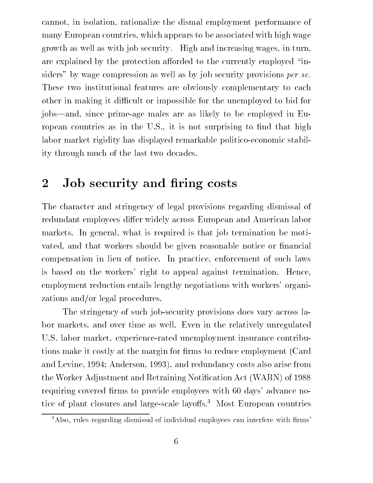cannot, in isolation, rationalize the dismal employment performance of many European countries, which appears to be associated with high wage growth as well as with job security. High and increasing wages, in turn, are explained by the protection afforded to the currently employed "insiders" by wage compression as well as by job security provisions *per se*. These two institutional features are obviously complementary to each other in making it difficult or impossible for the unemployed to bid for jobs—and, since prime-age males are as likely to be employed in European countries as in the U.S., it is not surprising to find that high labor market rigidity has displayed remarkable politico-economic stability through much of the last two decades.

## 2 Job security and firing costs

The character and stringency of legal provisions regarding dismissal of redundant employees differ widely across European and American labor markets. In general, what is required is that job termination be motivated, and that workers should be given reasonable notice or financial compensation in lieu of notice. In practice, enforcement of such laws is based on the workers' right to appeal against termination. Hence, employment reduction entails lengthy negotiations with workers' organizations and/or legal procedures.

The stringency of such job-security provisions does vary across labor markets, and over time as well. Even in the relatively unregulated U.S. labor market, experience-rated unemployment insurance contributions make it costly at the margin for firms to reduce employment (Card and Levine, 1994; Anderson, 1993), and redundancy costs also arise from the Worker Adjustment and Retraining Notication Act (WARN) of 1988 requiring covered firms to provide employees with 60 days' advance notice of plant closures and large-scale layoffs.<sup>3</sup> Most European countries

 $\frac{3 \text{ Also}}{100}$ , rules regarding dismissal of individual employees can interfere with firms'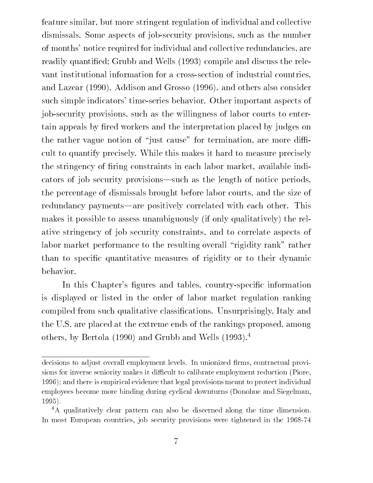feature similar, but more stringent regulation of individual and collective dismissals. Some aspects of job-security provisions, such as the number of months' notice required for individual and collective redundancies, are readily quantied; Grubb and Wells (1993) compile and discuss the relevant institutional information for a cross-section of industrial countries, and Lazear (1990), Addison and Grosso (1996), and others also consider such simple indicators' time-series behavior. Other important aspects of job-security provisions, such as the willingness of labor courts to entertain appeals by fired workers and the interpretation placed by judges on the rather vague notion of "just cause" for termination, are more difficult to quantify precisely. While this makes it hard to measure precisely the stringency of firing constraints in each labor market, available indicators of job security provisions—such as the length of notice periods, the percentage of dismissals brought before labor courts, and the size of redundancy payments—are positively correlated with each other. This makes it possible to assess unambiguously (if only qualitatively) the relative stringency of job security constraints, and to correlate aspects of labor market performance to the resulting overall "rigidity rank" rather than to specic quantitative measures of rigidity or to their dynamic behavior.

In this Chapter's figures and tables, country-specific information is displayed or listed in the order of labor market regulation ranking compiled from such qualitative classications. Unsurprisingly, Italy and the U.S. are placed at the extreme ends of the rankings proposed, among others, by Bertola (1990) and Grubb and Wells (1993).<sup>4</sup>

decisions to adjust overall employment levels. In unionized firms, contractual provisions for inverse seniority makes it difficult to calibrate employment reduction (Piore, 1996); and there is empirical evidence that legal provisions meant to protect individual employees become more binding during cyclical downturns (Donohue and Siegelman,  $1995$ ). 1995).

<sup>4</sup>A qualitatively clear pattern can also be discerned along the time dimension. In most European countries, job security provisions were tightened in the 1968-74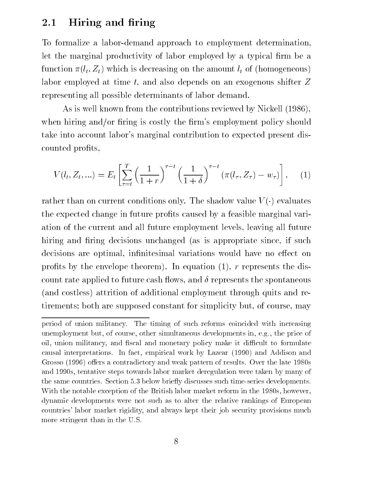### 2.1 Hiring and firing

To formalize a labor-demand approach to employment determination, let the marginal productivity of labor employed by a typical firm be a  $\min_{\theta} \min_{\theta} \min_{\theta} \min_{\theta} \min_{\theta} \min_{\theta} \min_{\theta} \min_{\theta} \min_{\theta} \min_{\theta} \min_{\theta} \min_{\theta} \min_{\theta} \min_{\theta} \min_{\theta} \min_{\theta} \min_{\theta} \min_{\theta} \min_{\theta} \min_{\theta} \min_{\theta} \min_{\theta} \min_{\theta} \min_{\theta} \min_{\theta} \min_{\theta} \min_{\theta} \min_{\theta} \min_{\theta} \min_{\theta} \min_{\theta} \min_{\theta} \min_{\theta} \min_{\theta} \min_{\theta} \min_{\theta} \min_{\$ labor employed at time t, and also depends on an exogenous shifter Z representing all possible determinants of labor demand.

As is well known from the contributions reviewed by Nickell (1986), when hiring and/or firing is costly the firm's employment policy should take into account labor's marginal contribution to expected present discounted profits,

$$
V(l_t, Z_t, \ldots) = E_t \left[ \sum_{\tau=t}^T \left( \frac{1}{1+r} \right)^{\tau-t} \left( \frac{1}{1+\delta} \right)^{\tau-t} \left( \pi(l_\tau, Z_\tau) - w_\tau \right) \right], \quad (1)
$$

rather than on current conditions only. The shadow value  $V(\cdot)$  evaluates the expected change in future profits caused by a feasible marginal variation of the current and all future employment levels, leaving all future hiring and firing decisions unchanged (as is appropriate since, if such decisions are optimal, infinitesimal variations would have no effect on profits by the envelope theorem). In equation  $(1)$ , r represents the discount rate applied to future cash flows, and  $\delta$  represents the spontaneous (and costless) attrition of additional employment through quits and retirements; both are supposed constant for simplicity but, of course, may

period of union militancy. The timing of such reforms coincided with increasing unemployment but, of course, other simultaneous developments in, e.g., the price of oil, union militancy, and fiscal and monetary policy make it difficult to formulate causal interpretations. In fact, empirical work by Lazear (1990) and Addison and Grosso (1996) offers a contradictory and weak pattern of results. Over the late  $1980s$ and 1990s, tentative steps towards labor market deregulation were taken by many of the same countries. Section 5.3 below briefly discusses such time-series developments. With the notable exception of the British labor market reform in the 1980s, however, dynamic developments were not such as to alter the relative rankings of European countries' labor market rigidity, and always kept their job security provisions much more stringent than in the U.S.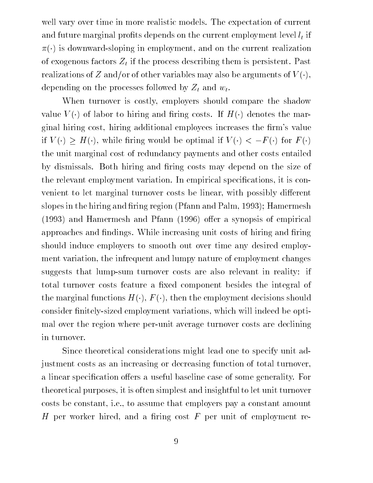well vary over time in more realistic models. The expectation of current and it is a completed to be completed the current employment level level level level level level level literat  $\pi(\cdot)$  is downward-sloping in employment, and on the current realization of exogenous factors  $Z_t$  if the process describing them is persistent. Past realizations of Z and/or of other variables may also be arguments of  $V(\cdot),$ depending on the processes followed by  $Z_t$  and  $w_t$ .

When turnover is costly, employers should compare the shadow value  $V(\cdot)$  of labor to hiring and firing costs. If  $H(\cdot)$  denotes the marginal hiring cost, hiring additional employees increases the firm's value if  $V(\cdot) \geq H(\cdot)$ , while firing would be optimal if  $V(\cdot) < -F(\cdot)$  for  $F(\cdot)$ the unit marginal cost of redundancy payments and other costs entailed by dismissals. Both hiring and firing costs may depend on the size of the relevant employment variation. In empirical specifications, it is convenient to let marginal turnover costs be linear, with possibly different slopes in the hiring and firing region (Pfann and Palm, 1993); Hamermesh  $(1993)$  and Hamermesh and Pfann  $(1996)$  offer a synopsis of empirical approaches and findings. While increasing unit costs of hiring and firing should induce employers to smooth out over time any desired employment variation, the infrequent and lumpy nature of employment changes suggests that lump-sum turnover costs are also relevant in reality: if total turnover costs feature a fixed component besides the integral of the marginal functions  $H(\cdot)$ ,  $F(\cdot)$ , then the employment decisions should consider finitely-sized employment variations, which will indeed be optimal over the region where per-unit average turnover costs are declining in turnover.

Since theoretical considerations might lead one to specify unit adjustment costs as an increasing or decreasing function of total turnover, a linear specification offers a useful baseline case of some generality. For theoretical purposes, it is often simplest and insightful to let unit turnover costs be constant, i.e., to assume that employers pay a constant amount H per worker hired, and a firing cost F per unit of employment re-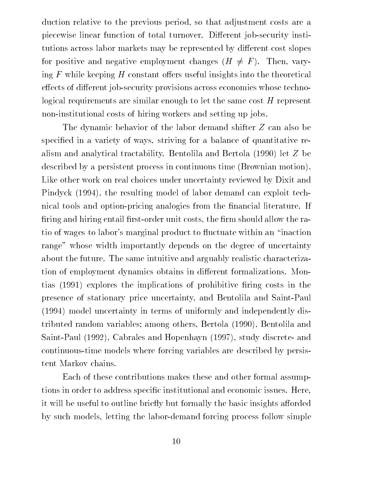duction relative to the previous period, so that adjustment costs are a piecewise linear function of total turnover. Different job-security institutions across labor markets may be represented by different cost slopes for positive and negative employment changes  $(H \neq F)$ . Then, varying  $F$  while keeping  $H$  constant offers useful insights into the theoretical effects of different job-security provisions across economies whose technological requirements are similar enough to let the same cost  $H$  represent non-institutional costs of hiring workers and setting up jobs.

The dynamic behavior of the labor demand shifter <sup>Z</sup> can also be specied in a variety of ways, striving for a balance of quantitative realism and analytical tractability. Bentolila and Bertola (1990) let <sup>Z</sup> be described by a persistent process in continuous time (Brownian motion). Like other work on real choices under uncertainty reviewed by Dixit and Pindyck (1994), the resulting model of labor demand can exploit technical tools and option-pricing analogies from the financial literature. If firing and hiring entail first-order unit costs, the firm should allow the ratio of wages to labor's marginal product to fluctuate within an "inaction" range" whose width importantly depends on the degree of uncertainty about the future. The same intuitive and arguably realistic characterization of employment dynamics obtains in different formalizations. Mon $tias$  (1991) explores the implications of prohibitive firing costs in the presence of stationary price uncertainty, and Bentolila and Saint-Paul (1994) model uncertainty in terms of uniformly and independently distributed random variables; among others, Bertola (1990), Bentolila and Saint-Paul (1992), Cabrales and Hopenhayn (1997), study discrete- and continuous-time models where forcing variables are described by persistent Markov chains.

Each of these contributions makes these and other formal assumptions in order to address specic institutional and economic issues. Here, it will be useful to outline briefly but formally the basic insights afforded by such models, letting the labor-demand forcing process follow simple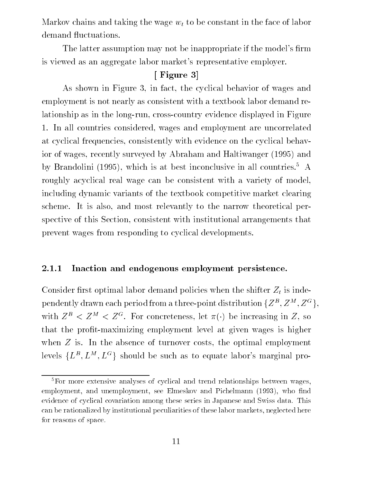Markov chains and taking the wage  $w_t$  to be constant in the face of labor demand fluctuations.

The latter assumption may not be inappropriate if the model's firm is viewed as an aggregate labor market's representative employer.

### [ Figure 3]

As shown in Figure 3, in fact, the cyclical behavior of wages and employment is not nearly as consistent with a textbook labor demand relationship as in the long-run, cross-country evidence displayed in Figure 1. In all countries considered, wages and employment are uncorrelated at cyclical frequencies, consistently with evidence on the cyclical behavior of wages, recently surveyed by Abraham and Haltiwanger (1995) and by Brandolini (1995), which is at best inconclusive in all countries.<sup>5</sup> A roughly acyclical real wage can be consistent with a variety of model, including dynamic variants of the textbook competitive market clearing scheme. It is also, and most relevantly to the narrow theoretical perspective of this Section, consistent with institutional arrangements that prevent wages from responding to cyclical developments.

#### 2.1.1Inaction and endogenous employment persistence.

Consider first optimal labor demand policies when the shifter  $Z_t$  is independently drawn each period from a three-point distribution  $\{Z^B,Z^M,Z^G\},$ with  $Z^ \leq$   $Z^ \leq$   $Z^-$  . For concreteness, let  $\pi(\cdot)$  be increasing in  $Z$ , so that the prot-maximizing employment level at given wages is higher when  $Z$  is. In the absence of turnover costs, the optimal employment levels  $\{L^B,L^M,L^G\}$  should be such as to equate labor's marginal pro-

<sup>&</sup>lt;sup>5</sup>For more extensive analyses of cyclical and trend relationships between wages, employment, and unemployment, see Elmeskov and Pichelmann (1993), who find evidence of cyclical covariation among these series in Japanese and Swiss data. This can be rationalized by institutional peculiarities of these labor markets, neglected here for reasons of space.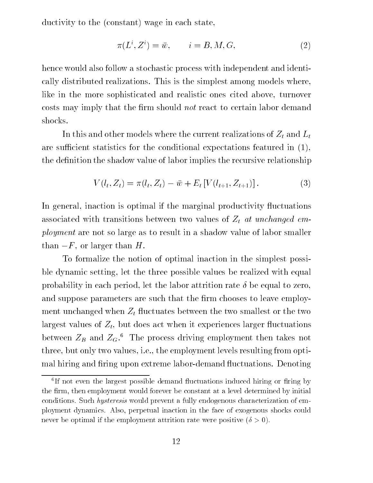ductivity to the (constant) wage in each state,

$$
\pi(L^i, Z^i) = \bar{w}, \qquad i = B, M, G,\tag{2}
$$

hence would also follow a stochastic process with independent and identically distributed realizations. This is the simplest among models where, like in the more sophisticated and realistic ones cited above, turnover costs may imply that the firm should *not* react to certain labor demand shocks.

In this and other models where the current realizations of  $Z_t$  and  $L_t$ are sufficient statistics for the conditional expectations featured in  $(1)$ , the definition the shadow value of labor implies the recursive relationship

$$
V(l_t, Z_t) = \pi(l_t, Z_t) - \bar{w} + E_t \left[ V(l_{t+1}, Z_{t+1}) \right]. \tag{3}
$$

In general, inaction is optimal if the marginal productivity fluctuations associated with transitions between two values of  $Z_t$  at unchanged employment are not so large as to result in a shadow value of labor smaller than  $-F$ , or larger than H.

To formalize the notion of optimal inaction in the simplest possible dynamic setting, let the three possible values be realized with equal probability in each period, let the labor attrition rate  $\delta$  be equal to zero, and suppose parameters are such that the firm chooses to leave employment unchanged when  $Z_t$  fluctuates between the two smallest or the two largest values of  $Z_t$ , but does act when it experiences larger fluctuations between  $Z_B$  and  $Z_G$ .<sup>6</sup> The process driving employment then takes not three, but only two values, i.e., the employment levels resulting from optimal hiring and firing upon extreme labor-demand fluctuations. Denoting

If not even the largest possible demand nuctuations induced hiring or firing by the firm, then employment would forever be constant at a level determined by initial conditions. Such hysteresis would prevent a fully endogenous characterization of employment dynamics. Also, perpetual inaction in the face of exogenous shocks could never be optimal if the employment attrition rate were positive  $(\delta > 0)$ .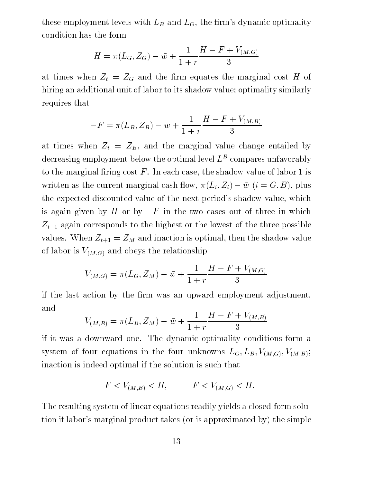these employment levels with  $L_B$  and  $L_G$ , the firm's dynamic optimality condition has the form

$$
H = \pi(L_G, Z_G) - \bar{w} + \frac{1}{1+r} \frac{H - F + V_{(M,G)}}{3}
$$

at times when  $Z_t = Z_G$  and the firm equates the marginal cost H of hiring an additional unit of labor to its shadow value; optimality similarly requires that

$$
-F = \pi(L_B, Z_B) - \bar{w} + \frac{1}{1+r} \frac{H - F + V_{(M,B)}}{3}
$$

at times when  $Z_t = Z_B$ , and the marginal value change entailed by decreasing employment below the optimal level  $L^\pm$  compares unfavorably to the marginal firing cost  $F$ . In each case, the shadow value of labor 1 is written as the current marginal cash flow,  $\pi(L_i, Z_i) - \bar{w}$   $(i = G, B)$ , plus the expected discounted value of the next period's shadow value, which is again given by H or by  $-F$  in the two cases out of three in which  $Z_{t+1}$  again corresponds to the highest or the lowest of the three possible values. When  $Z_{t+1} = Z_M$  and inaction is optimal, then the shadow value of labor is  $V_{(M,G)}$  and obeys the relationship

$$
V_{(M,G)} = \pi(L_G, Z_M) - \bar{w} + \frac{1}{1+r} \frac{H - F + V_{(M,G)}}{3}
$$

if the last action by the firm was an upward employment adjustment, and

$$
V_{(M,B)} = \pi(L_B, Z_M) - \bar{w} + \frac{1}{1+r} \frac{H - F + V_{(M,B)}}{3}
$$

if it was a downward one. The dynamic optimality conditions form a system of four equations in the four unknowns  $L_G$ ,  $L_B$ ,  $V_{(M,G)}$ ,  $V_{(M,B)}$ ; inaction is indeed optimal if the solution is such that

$$
-F < V_{(M,B)} < H, \qquad -F < V_{(M,G)} < H.
$$

The resulting system of linear equations readily yields a closed-form solution if labor's marginal product takes (or is approximated by) the simple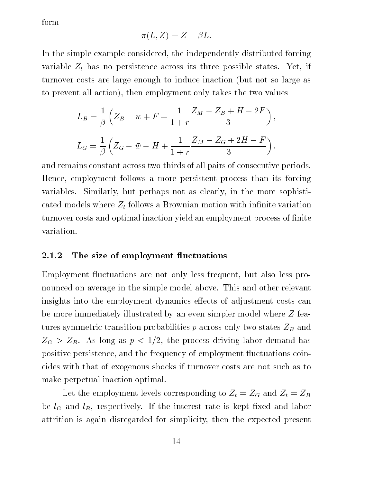form

$$
\pi(L, Z) = Z - \beta L.
$$

In the simple example considered, the independently distributed forcing variable  $Z_t$  has no persistence across its three possible states. Yet, if turnover costs are large enough to induce inaction (but not so large as to prevent all action), then employment only takes the two values

$$
L_B = \frac{1}{\beta} \left( Z_B - \bar{w} + F + \frac{1}{1+r} \frac{Z_M - Z_B + H - 2F}{3} \right),
$$
  

$$
L_G = \frac{1}{\beta} \left( Z_G - \bar{w} - H + \frac{1}{1+r} \frac{Z_M - Z_G + 2H - F}{3} \right),
$$

and remains constant across two thirds of all pairs of consecutive periods. Hence, employment follows a more persistent process than its forcing variables. Similarly, but perhaps not as clearly, in the more sophisticated models where  $Z_t$  follows a Brownian motion with infinite variation turnover costs and optimal inaction yield an employment process of finite variation.

#### $2.1.2$ The size of employment fluctuations

Employment fluctuations are not only less frequent, but also less pronounced on average in the simple model above. This and other relevant insights into the employment dynamics effects of adjustment costs can be more immediately illustrated by an even simpler model where  $Z$  features symmetric transition probabilities  $p$  across only two states  $Z_B$  and  $Z_G > Z_B$ . As long as  $p < 1/2$ , the process driving labor demand has positive persistence, and the frequency of employment 
uctuations coincides with that of exogenous shocks if turnover costs are not such as to make perpetual inaction optimal.

Let the employment levels corresponding to  $Z_t = Z_G$  and  $Z_t = Z_B$ be  $l_G$  and  $l_B$ , respectively. If the interest rate is kept fixed and labor attrition is again disregarded for simplicity, then the expected present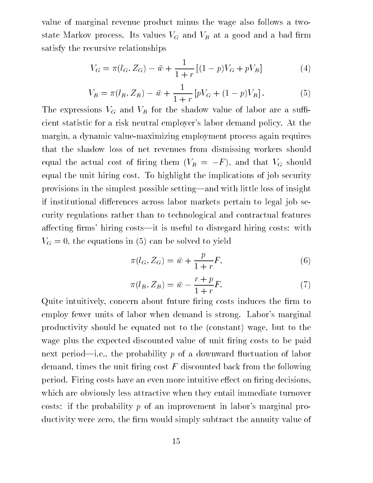value of marginal revenue product minus the wage also follows a twostate Markov process. Its values  $V_G$  and  $V_B$  at a good and a bad firm satisfy the recursive relationships

$$
V_G = \pi(l_G, Z_G) - \bar{w} + \frac{1}{1+r} \left[ (1-p)V_G + pV_B \right] \tag{4}
$$

$$
V_B = \pi(l_B, Z_B) - \bar{w} + \frac{1}{1+r} \left[ pV_G + (1-p)V_B \right]. \tag{5}
$$

The expressions  $V_G$  and  $V_B$  for the shadow value of labor are a sufficient statistic for a risk neutral employer's labor demand policy. At the margin, a dynamic value-maximizing employment process again requires that the shadow loss of net revenues from dismissing workers should equal the actual cost of firing them  $(V_B = -F)$ , and that  $V_G$  should equal the unit hiring cost. To highlight the implications of job security provisions in the simplest possible setting—and with little loss of insight if institutional differences across labor markets pertain to legal job security regulations rather than to technological and contractual features affecting firms' hiring costs—it is useful to disregard hiring costs: with  $V_G = 0$ , the equations in (5) can be solved to yield

$$
\pi(l_G, Z_G) = \bar{w} + \frac{p}{1+r}F,\tag{6}
$$

$$
\pi(l_B, Z_B) = \bar{w} - \frac{r+p}{1+r}F.
$$
\n<sup>(7)</sup>

Quite intuitively, concern about future firing costs induces the firm to employ fewer units of labor when demand is strong. Labor's marginal productivity should be equated not to the (constant) wage, but to the wage plus the expected discounted value of unit firing costs to be paid next period—i.e., the probability p of a downward fluctuation of labor demand, times the unit firing cost  $F$  discounted back from the following period. Firing costs have an even more intuitive effect on firing decisions, which are obviously less attractive when they entail immediate turnover costs: if the probability  $p$  of an improvement in labor's marginal productivity were zero, the firm would simply subtract the annuity value of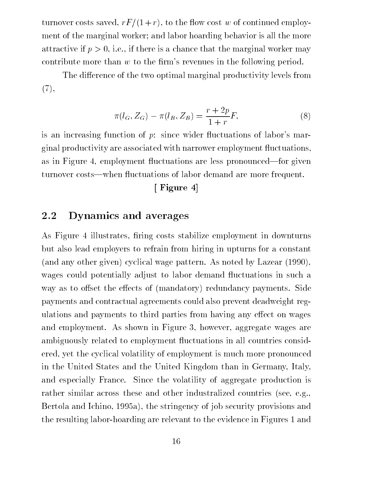turnover costs saved,  $rF/(1 + r)$ , to the flow cost w of continued employment of the marginal worker; and labor hoarding behavior is all the more attractive if  $p > 0$ , i.e., if there is a chance that the marginal worker may contribute more than  $w$  to the firm's revenues in the following period.

The difference of the two optimal marginal productivity levels from (7),

$$
\pi(l_G, Z_G) - \pi(l_B, Z_B) = \frac{r + 2p}{1 + r} F,\tag{8}
$$

is an increasing function of  $p$ : since wider fluctuations of labor's marginal productivity are associated with narrower employment 
uctuations, as in Figure 4, employment fluctuations are less pronounced—for given turnover costs—when fluctuations of labor demand are more frequent.

### [ Figure 4]

### 2.2 Dynamics and averages

As Figure 4 illustrates, firing costs stabilize employment in downturns but also lead employers to refrain from hiring in upturns for a constant (and any other given) cyclical wage pattern. As noted by Lazear (1990), wages could potentially adjust to labor demand fluctuations in such a way as to offset the effects of (mandatory) redundancy payments. Side payments and contractual agreements could also prevent deadweight regulations and payments to third parties from having any effect on wages and employment. As shown in Figure 3, however, aggregate wages are ambiguously related to employment fluctuations in all countries considered, yet the cyclical volatility of employment is much more pronounced in the United States and the United Kingdom than in Germany, Italy, and especially France. Since the volatility of aggregate production is rather similar across these and other industralized countries (see, e.g., Bertola and Ichino, 1995a), the stringency of job security provisions and the resulting labor-hoarding are relevant to the evidence in Figures 1 and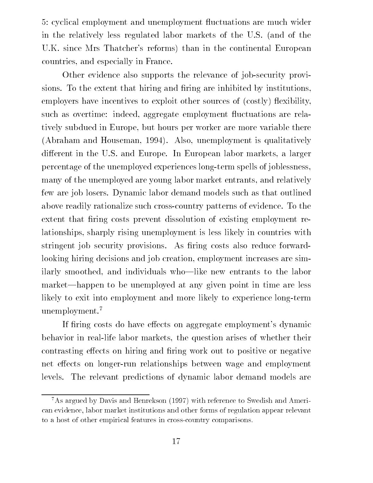5: cyclical employment and unemployment fluctuations are much wider in the relatively less regulated labor markets of the U.S. (and of the U.K. since Mrs Thatcher's reforms) than in the continental European countries, and especially in France.

Other evidence also supports the relevance of job-security provisions. To the extent that hiring and firing are inhibited by institutions, employers have incentives to exploit other sources of (costly) flexibility, such as overtime: indeed, aggregate employment fluctuations are relatively subdued in Europe, but hours per worker are more variable there (Abraham and Houseman, 1994). Also, unemployment is qualitatively different in the U.S. and Europe. In European labor markets, a larger percentage of the unemployed experiences long-term spells of joblessness, many of the unemployed are young labor market entrants, and relatively few are job losers. Dynamic labor demand models such as that outlined above readily rationalize such cross-country patterns of evidence. To the extent that firing costs prevent dissolution of existing employment relationships, sharply rising unemployment is less likely in countries with stringent job security provisions. As firing costs also reduce forwardlooking hiring decisions and job creation, employment increases are similarly smoothed, and individuals who-like new entrants to the labor market—happen to be unemployed at any given point in time are less likely to exit into employment and more likely to experience long-term unemployment.<sup>7</sup>

If firing costs do have effects on aggregate employment's dynamic behavior in real-life labor markets, the question arises of whether their contrasting effects on hiring and firing work out to positive or negative net effects on longer-run relationships between wage and employment levels. The relevant predictions of dynamic labor demand models are

<sup>7</sup>As argued by Davis and Henrekson (1997) with reference to Swedish and American evidence, labor market institutions and other forms of regulation appear relevant to a host of other empirical features in cross-country comparisons.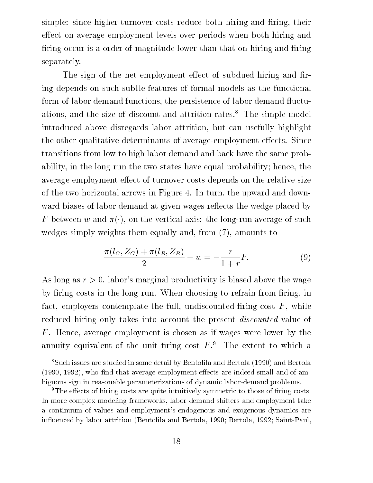simple: since higher turnover costs reduce both hiring and firing, their effect on average employment levels over periods when both hiring and firing occur is a order of magnitude lower than that on hiring and firing separately.

The sign of the net employment effect of subdued hiring and firing depends on such subtle features of formal models as the functional form of labor demand functions, the persistence of labor demand fluctuations, and the size of discount and attrition rates.<sup>8</sup> The simple model introduced above disregards labor attrition, but can usefully highlight the other qualitative determinants of average-employment effects. Since transitions from low to high labor demand and back have the same probability, in the long run the two states have equal probability; hence, the average employment effect of turnover costs depends on the relative size of the two horizontal arrows in Figure 4. In turn, the upward and downward biases of labor demand at given wages reflects the wedge placed by F between w and  $\pi(\cdot)$ , on the vertical axis: the long-run average of such wedges simply weights them equally and, from (7), amounts to

$$
\frac{\pi(l_G, Z_G) + \pi(l_B, Z_B)}{2} - \bar{w} = -\frac{r}{1+r}F.
$$
\n(9)

As long as  $r > 0$ , labor's marginal productivity is biased above the wage by firing costs in the long run. When choosing to refrain from firing, in fact, employers contemplate the full, undiscounted firing cost  $F$ , while reduced hiring only takes into account the present *discounted* value of F. Hence, average employment is chosen as if wages were lower by the annuity equivalent of the unit firing cost  $F$ .<sup>9</sup> The extent to which a

<sup>8</sup>Such issues are studied in some detail by Bentolila and Bertola (1990) and Bertola  $(1990, 1992)$ , who find that average employment effects are indeed small and of ambiguous sign in reasonable parameterizations of dynamic labor-demand problems.

<sup>&</sup>lt;sup>9</sup>The effects of hiring costs are quite intuitively symmetric to those of firing costs. In more complex modeling frameworks, labor demand shifters and employment take a continuum of values and employment's endogenous and exogenous dynamics are in
uenced by labor attrition (Bentolila and Bertola, 1990; Bertola, 1992; Saint-Paul,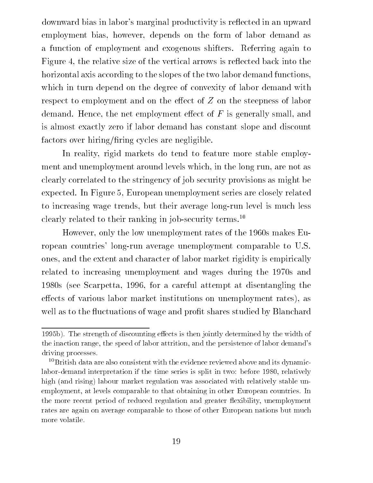downward bias in labor's marginal productivity is reflected in an upward employment bias, however, depends on the form of labor demand as a function of employment and exogenous shifters. Referring again to Figure 4, the relative size of the vertical arrows is reflected back into the horizontal axis according to the slopes of the two labor demand functions, which in turn depend on the degree of convexity of labor demand with respect to employment and on the effect of  $Z$  on the steepness of labor demand. Hence, the net employment effect of  $F$  is generally small, and is almost exactly zero if labor demand has constant slope and discount factors over hiring/firing cycles are negligible.

In reality, rigid markets do tend to feature more stable employment and unemployment around levels which, in the long run, are not as clearly correlated to the stringency of job security provisions as might be expected. In Figure 5, European unemployment series are closely related to increasing wage trends, but their average long-run level is much less clearly related to their ranking in job-security terms.10

However, only the low unemployment rates of the 1960s makes European countries' long-run average unemployment comparable to U.S. ones, and the extent and character of labor market rigidity is empirically related to increasing unemployment and wages during the 1970s and 1980s (see Scarpetta, 1996, for a careful attempt at disentangling the effects of various labor market institutions on unemployment rates), as well as to the fluctuations of wage and profit shares studied by Blanchard

<sup>1995</sup>b). The strength of discounting effects is then jointly determined by the width of the inaction range, the speed of labor attrition, and the persistence of labor demand's driving processes.

 $10B$ ritish data are also consistent with the evidence reviewed above and its dynamiclabor-demand interpretation if the time series is split in two: before 1980, relatively high (and rising) labour market regulation was associated with relatively stable unemployment, at levels comparable to that obtaining in other European countries. In the more recent period of reduced regulation and greater flexibility, unemployment rates are again on average comparable to those of other European nations but much more volatile.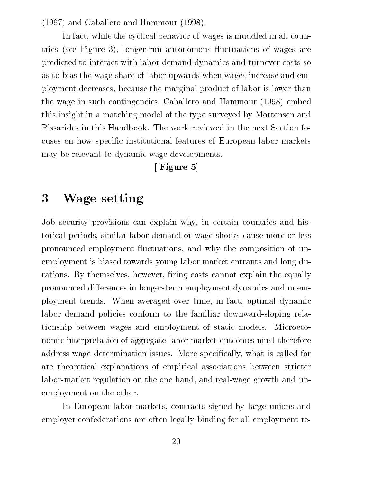(1997) and Caballero and Hammour (1998).

In fact, while the cyclical behavior of wages is muddled in all countries (see Figure 3), longer-run autonomous fluctuations of wages are predicted to interact with labor demand dynamics and turnover costs so as to bias the wage share of labor upwards when wages increase and employment decreases, because the marginal product of labor is lower than the wage in such contingencies; Caballero and Hammour (1998) embed this insight in a matching model of the type surveyed by Mortensen and Pissarides in this Handbook. The work reviewed in the next Section focuses on how specic institutional features of European labor markets may be relevant to dynamic wage developments.

### [ Figure 5]

### Wage setting  $\overline{3}$

Job security provisions can explain why, in certain countries and historical periods, similar labor demand or wage shocks cause more or less pronounced employment fluctuations, and why the composition of unemployment is biased towards young labor market entrants and long durations. By themselves, however, firing costs cannot explain the equally pronounced differences in longer-term employment dynamics and unemployment trends. When averaged over time, in fact, optimal dynamic labor demand policies conform to the familiar downward-sloping relationship between wages and employment of static models. Microeconomic interpretation of aggregate labor market outcomes must therefore address wage determination issues. More specically, what is called for are theoretical explanations of empirical associations between stricter labor-market regulation on the one hand, and real-wage growth and unemployment on the other.

In European labor markets, contracts signed by large unions and employer confederations are often legally binding for all employment re-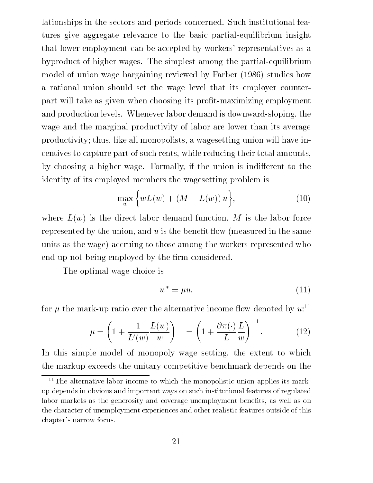lationships in the sectors and periods concerned. Such institutional features give aggregate relevance to the basic partial-equilibrium insight that lower employment can be accepted by workers' representatives as a byproduct of higher wages. The simplest among the partial-equilibrium model of union wage bargaining reviewed by Farber (1986) studies how a rational union should set the wage level that its employer counterpart will take as given when choosing its prot-maximizing employment and production levels. Whenever labor demand is downward-sloping, the wage and the marginal productivity of labor are lower than its average productivity; thus, like all monopolists, a wagesetting union will have incentives to capture part of such rents, while reducing their total amounts, by choosing a higher wage. Formally, if the union is indifferent to the identity of its employed members the wagesetting problem is

$$
\max_{w} \left\{ wL(w) + (M - L(w))u \right\},\tag{10}
$$

where  $L(w)$  is the direct labor demand function, M is the labor force represented by the union, and  $u$  is the benefit flow (measured in the same units as the wage) accruing to those among the workers represented who end up not being employed by the firm considered.

The optimal wage choice is

$$
w^* = \mu u,\tag{11}
$$

for  $\mu$  the mark-up ratio over the alternative income flow denoted by  $u:$ <sup>11</sup>

$$
\mu = \left(1 + \frac{1}{L'(w)} \frac{L(w)}{w}\right)^{-1} = \left(1 + \frac{\partial \pi(\cdot)}{L} \frac{L}{w}\right)^{-1}.\tag{12}
$$

In this simple model of monopoly wage setting, the extent to which the markup exceeds the unitary competitive benchmark depends on the

<sup>&</sup>lt;sup>11</sup>The alternative labor income to which the monopolistic union applies its markup depends in obvious and important ways on such institutional features of regulated labor markets as the generosity and coverage unemployment benefits, as well as on the character of unemployment experiences and other realistic features outside of this chapter's narrow focus.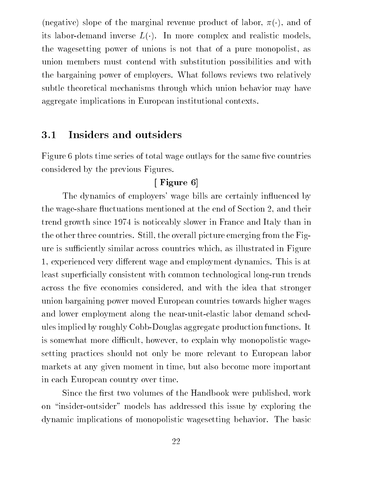(negative) slope of the marginal revenue product of labor,  $\pi(\cdot)$ , and of its labor-demand inverse  $L(\cdot)$ . In more complex and realistic models, the wagesetting power of unions is not that of a pure monopolist, as union members must contend with substitution possibilities and with the bargaining power of employers. What follows reviews two relatively subtle theoretical mechanisms through which union behavior may have aggregate implications in European institutional contexts.

### 3.1 Insiders and outsiders

Figure 6 plots time series of total wage outlays for the same five countries considered by the previous Figures.

### [ Figure 6]

The dynamics of employers' wage bills are certainly influenced by the wage-share fluctuations mentioned at the end of Section 2, and their trend growth since 1974 is noticeably slower in France and Italy than in the other three countries. Still, the overall picture emerging from the Figure is sufficiently similar across countries which, as illustrated in Figure 1, experienced very different wage and employment dynamics. This is at least superficially consistent with common technological long-run trends across the five economies considered, and with the idea that stronger union bargaining power moved European countries towards higher wages and lower employment along the near-unit-elastic labor demand schedules implied by roughly Cobb-Douglas aggregate production functions. It is somewhat more difficult, however, to explain why monopolistic wagesetting practices should not only be more relevant to European labor markets at any given moment in time, but also become more important in each European country over time.

Since the first two volumes of the Handbook were published, work on "insider-outsider" models has addressed this issue by exploring the dynamic implications of monopolistic wagesetting behavior. The basic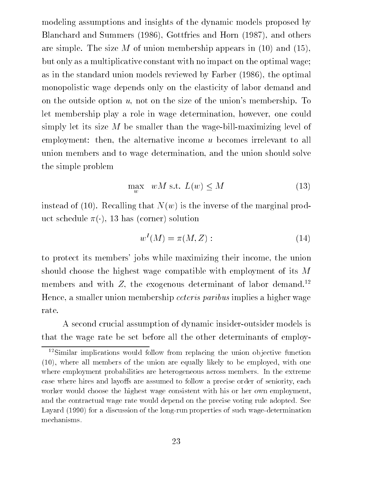modeling assumptions and insights of the dynamic models proposed by Blanchard and Summers (1986), Gottfries and Horn (1987), and others are simple. The size M of union membership appears in  $(10)$  and  $(15)$ , but only as a multiplicative constant with no impact on the optimal wage; as in the standard union models reviewed by Farber (1986), the optimal monopolistic wage depends only on the elasticity of labor demand and on the outside option  $u$ , not on the size of the union's membership. To let membership play a role in wage determination, however, one could simply let its size  $M$  be smaller than the wage-bill-maximizing level of employment: then, the alternative income <sup>u</sup> becomes irrelevant to all union members and to wage determination, and the union should solve the simple problem

$$
\max_{w} \quad wM \text{ s.t. } L(w) \le M \tag{13}
$$

instead of (10). Recalling that  $N(w)$  is the inverse of the marginal product schedule  $\pi$ (), 13 has (corner) solution

$$
w^{I}(M) = \pi(M, Z): \tag{14}
$$

to protect its members' jobs while maximizing their income, the union should choose the highest wage compatible with employment of its  $M$ members and with  $Z$ , the exogenous determinant of labor demand.<sup>12</sup> Hence, a smaller union membership *ceteris paribus* implies a higher wage rate.

A second crucial assumption of dynamic insider-outsider models is that the wage rate be set before all the other determinants of employ-

 $12$ Similar implications would follow from replacing the union objective function (10), where all members of the union are equally likely to be employed, with one where employment probabilities are heterogeneous across members. In the extreme case where hires and layoffs are assumed to follow a precise order of seniority, each worker would choose the highest wage consistent with his or her own employment, and the contractual wage rate would depend on the precise voting rule adopted. See Layard (1990) for a discussion of the long-run properties of such wage-determination mechanisms.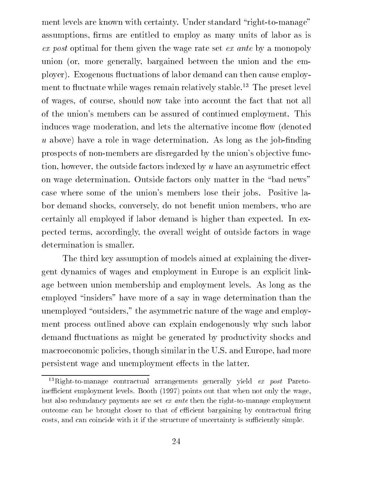ment levels are known with certainty. Under standard "right-to-manage" assumptions, firms are entitled to employ as many units of labor as is ex post optimal for them given the wage rate set ex ante by a monopoly union (or, more generally, bargained between the union and the employer). Exogenous fluctuations of labor demand can then cause employment to fluctuate while wages remain relatively stable.<sup>13</sup> The preset level of wages, of course, should now take into account the fact that not all of the union's members can be assured of continued employment. This induces wage moderation, and lets the alternative income flow (denoted u above) have a role in wage determination. As long as the job-finding prospects of non-members are disregarded by the union's ob jective function, however, the outside factors indexed by  $u$  have an asymmetric effect on wage determination. Outside factors only matter in the "bad news" case where some of the union's members lose their jobs. Positive labor demand shocks, conversely, do not benefit union members, who are certainly all employed if labor demand is higher than expected. In expected terms, accordingly, the overall weight of outside factors in wage determination is smaller.

The third key assumption of models aimed at explaining the divergent dynamics of wages and employment in Europe is an explicit linkage between union membership and employment levels. As long as the employed "insiders" have more of a say in wage determination than the unemployed "outsiders," the asymmetric nature of the wage and employment process outlined above can explain endogenously why such labor demand fluctuations as might be generated by productivity shocks and macroeconomic policies, though similar in the U.S. and Europe, had more persistent wage and unemployment effects in the latter.

<sup>&</sup>lt;sup>13</sup>Right-to-manage contractual arrangements generally yield  $ex$  post Paretoinefficient employment levels. Booth (1997) points out that when not only the wage, but also redundancy payments are set ex ante then the right-to-manage employment outcome can be brought closer to that of efficient bargaining by contractual firing costs, and can coincide with it if the structure of uncertainty is sufficiently simple.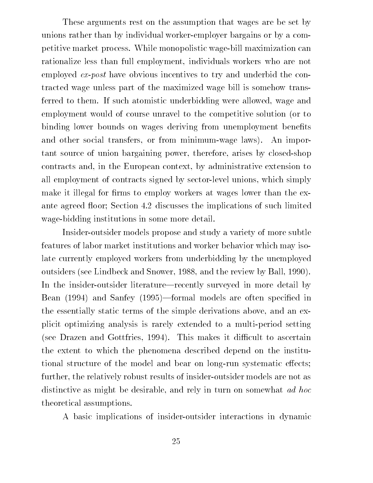These arguments rest on the assumption that wages are be set by unions rather than by individual worker-employer bargains or by a competitive market process. While monopolistic wage-bill maximization can rationalize less than full employment, individuals workers who are not employed *ex-post* have obvious incentives to try and underbid the contracted wage unless part of the maximized wage bill is somehow transferred to them. If such atomistic underbidding were allowed, wage and employment would of course unravel to the competitive solution (or to binding lower bounds on wages deriving from unemployment benefits and other social transfers, or from minimum-wage laws). An important source of union bargaining power, therefore, arises by closed-shop contracts and, in the European context, by administrative extension to all employment of contracts signed by sector-level unions, which simply make it illegal for firms to employ workers at wages lower than the exante agreed floor; Section 4.2 discusses the implications of such limited wage-bidding institutions in some more detail.

Insider-outsider models propose and study a variety of more subtle features of labor market institutions and worker behavior which may isolate currently employed workers from underbidding by the unemployed outsiders (see Lindbeck and Snower, 1988, and the review by Ball, 1990). In the insider-outsider literature—recently surveyed in more detail by Bean (1994) and Sanfey (1995)—formal models are often specified in the essentially static terms of the simple derivations above, and an explicit optimizing analysis is rarely extended to a multi-period setting (see Drazen and Gottfries, 1994). This makes it difficult to ascertain the extent to which the phenomena described depend on the institutional structure of the model and bear on long-run systematic effects; further, the relatively robust results of insider-outsider models are not as distinctive as might be desirable, and rely in turn on somewhat *ad hoc* theoretical assumptions.

A basic implications of insider-outsider interactions in dynamic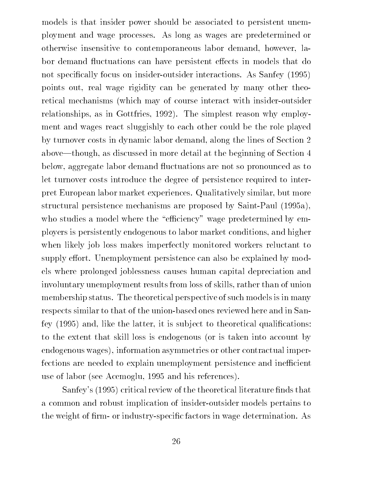models is that insider power should be associated to persistent unemployment and wage processes. As long as wages are predetermined or otherwise insensitive to contemporaneous labor demand, however, labor demand fluctuations can have persistent effects in models that do not specically focus on insider-outsider interactions. As Sanfey (1995) points out, real wage rigidity can be generated by many other theoretical mechanisms (which may of course interact with insider-outsider relationships, as in Gottfries, 1992). The simplest reason why employment and wages react sluggishly to each other could be the role played by turnover costs in dynamic labor demand, along the lines of Section 2 above—though, as discussed in more detail at the beginning of Section 4 below, aggregate labor demand fluctuations are not so pronounced as to let turnover costs introduce the degree of persistence required to interpret European labor market experiences. Qualitatively similar, but more structural persistence mechanisms are proposed by Saint-Paul (1995a), who studies a model where the "efficiency" wage predetermined by employers is persistently endogenous to labor market conditions, and higher when likely job loss makes imperfectly monitored workers reluctant to supply effort. Unemployment persistence can also be explained by models where prolonged joblessness causes human capital depreciation and involuntary unemployment results from loss of skills, rather than of union membership status. The theoretical perspective of such models is in many respects similar to that of the union-based ones reviewed here and in Sanfey (1995) and, like the latter, it is sub ject to theoretical qualications: to the extent that skill loss is endogenous (or is taken into account by endogenous wages), information asymmetries or other contractual imperfections are needed to explain unemployment persistence and inefficient use of labor (see Acemoglu, 1995 and his references).

Sanfey's (1995) critical review of the theoretical literature finds that a common and robust implication of insider-outsider models pertains to the weight of firm- or industry-specific factors in wage determination. As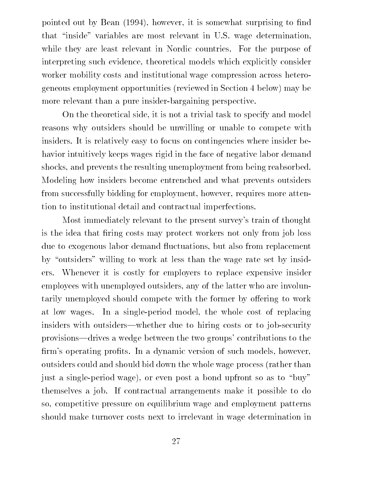pointed out by Bean (1994), however, it is somewhat surprising to find that "inside" variables are most relevant in U.S. wage determination, while they are least relevant in Nordic countries. For the purpose of interpreting such evidence, theoretical models which explicitly consider worker mobility costs and institutional wage compression across heterogeneous employment opportunities (reviewed in Section 4 below) may be more relevant than a pure insider-bargaining perspective.

On the theoretical side, it is not a trivial task to specify and model reasons why outsiders should be unwilling or unable to compete with insiders. It is relatively easy to focus on contingencies where insider behavior intuitively keeps wages rigid in the face of negative labor demand shocks, and prevents the resulting unemployment from being reabsorbed. Modeling how insiders become entrenched and what prevents outsiders from successfully bidding for employment, however, requires more attention to institutional detail and contractual imperfections.

Most immediately relevant to the present survey's train of thought is the idea that firing costs may protect workers not only from job loss due to exogenous labor demand fluctuations, but also from replacement by "outsiders" willing to work at less than the wage rate set by insiders. Whenever it is costly for employers to replace expensive insider employees with unemployed outsiders, any of the latter who are involuntarily unemployed should compete with the former by offering to work at low wages. In a single-period model, the whole cost of replacing insiders with outsiders—whether due to hiring costs or to job-security provisions—drives a wedge between the two groups' contributions to the firm's operating profits. In a dynamic version of such models, however, outsiders could and should bid down the whole wage process (rather than just a single-period wage), or even post a bond upfront so as to "buy" themselves a job. If contractual arrangements make it possible to do so, competitive pressure on equilibrium wage and employment patterns should make turnover costs next to irrelevant in wage determination in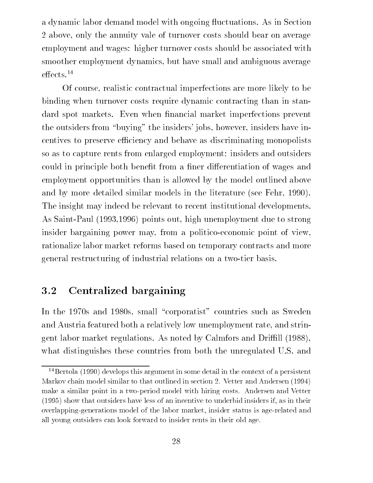a dynamic labor demand model with ongoing fluctuations. As in Section 2 above, only the annuity vale of turnover costs should bear on average employment and wages: higher turnover costs should be associated with smoother employment dynamics, but have small and ambiguous average  $\mathrm{effects.}^{14}$ 

Of course, realistic contractual imperfections are more likely to be binding when turnover costs require dynamic contracting than in standard spot markets. Even when financial market imperfections prevent the outsiders from "buying" the insiders' jobs, however, insiders have incentives to preserve efficiency and behave as discriminating monopolists so as to capture rents from enlarged employment: insiders and outsiders could in principle both benefit from a finer differentiation of wages and employment opportunities than is allowed by the model outlined above and by more detailed similar models in the literature (see Fehr, 1990). The insight may indeed be relevant to recent institutional developments. As Saint-Paul (1993,1996) points out, high unemployment due to strong insider bargaining power may, from a politico-economic point of view, rationalize labor market reforms based on temporary contracts and more general restructuring of industrial relations on a two-tier basis.

## 3.2 Centralized bargaining

In the 1970s and 1980s, small "corporatist" countries such as Sweden and Austria featured both a relatively low unemployment rate, and stringent labor market regulations. As noted by Calmfors and Driffill (1988), what distinguishes these countries from both the unregulated U.S. and

<sup>14</sup>Bertola (1990) develops this argument in some detail in the context of a persistent Markov chain model similar to that outlined in section 2. Vetter and Andersen (1994) make a similar point in a two-period model with hiring costs. Andersen and Vetter (1995) show that outsiders have less of an incentive to underbid insiders if, as in their overlapping-generations model of the labor market, insider status is age-related and all young outsiders can look forward to insider rents in their old age.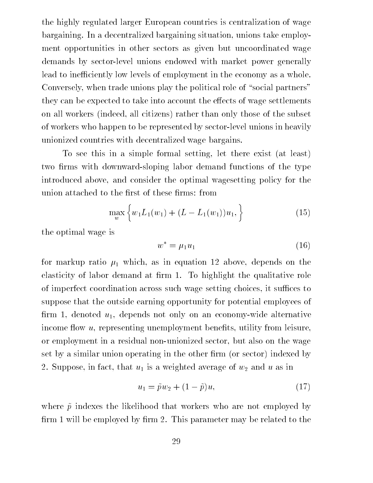the highly regulated larger European countries is centralization of wage bargaining. In a decentralized bargaining situation, unions take employment opportunities in other sectors as given but uncoordinated wage demands by sector-level unions endowed with market power generally lead to inefficiently low levels of employment in the economy as a whole. Conversely, when trade unions play the political role of "social partners" they can be expected to take into account the effects of wage settlements on all workers (indeed, all citizens) rather than only those of the subset of workers who happen to be represented by sector-level unions in heavily unionized countries with decentralized wage bargains.

To see this in a simple formal setting, let there exist (at least) two firms with downward-sloping labor demand functions of the type introduced above, and consider the optimal wagesetting policy for the union attached to the first of these firms: from

$$
\max_{w} \left\{ w_1 L_1(w_1) + (L - L_1(w_1)) u_1, \right\} \tag{15}
$$

the optimal wage is

$$
w^* = \mu_1 u_1 \tag{16}
$$

for markup ratio  $\mu_1$  which, as in equation 12 above, depends on the elasticity of labor demand at firm 1. To highlight the qualitative role of imperfect coordination across such wage setting choices, it suffices to suppose that the outside earning opportunity for potential employees of firm 1, denoted  $u_1$ , depends not only on an economy-wide alternative income flow  $u$ , representing unemployment benefits, utility from leisure, or employment in a residual non-unionized sector, but also on the wage set by a similar union operating in the other firm (or sector) indexed by 2. Suppose, in fact, that  $u_1$  is a weighted average of  $w_2$  and u as in

$$
u_1 = \tilde{p}w_2 + (1 - \tilde{p})u,\tag{17}
$$

where  $\tilde{p}$  indexes the likelihood that workers who are not employed by firm 1 will be employed by firm 2. This parameter may be related to the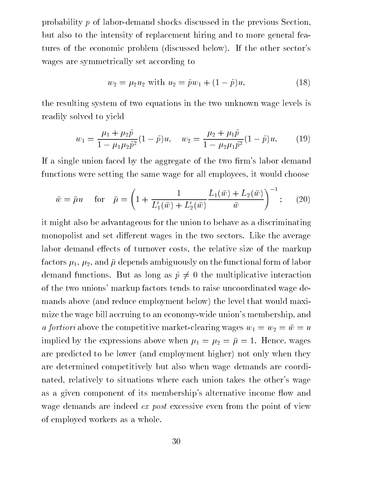probability <sup>p</sup> of labor-demand shocks discussed in the previous Section, but also to the intensity of replacement hiring and to more general features of the economic problem (discussed below). If the other sector's wages are symmetrically set according to

$$
w_2 = \mu_2 u_2 \text{ with } u_2 = \tilde{p} w_1 + (1 - \tilde{p}) u,\tag{18}
$$

the resulting system of two equations in the two unknown wage levels is readily solved to yield

$$
w_1 = \frac{\mu_1 + \mu_2 \tilde{p}}{1 - \mu_1 \mu_2 \tilde{p}^2} (1 - \tilde{p}) u, \quad w_2 = \frac{\mu_2 + \mu_1 \tilde{p}}{1 - \mu_2 \mu_1 \tilde{p}^2} (1 - \tilde{p}) u. \tag{19}
$$

If a single union faced by the aggregate of the two firm's labor demand functions were setting the same wage for all employees, it would choose

$$
\bar{w} = \bar{\mu}u \quad \text{for} \quad \bar{\mu} = \left(1 + \frac{1}{L'_1(\bar{w}) + L'_2(\bar{w})} \frac{L_1(\bar{w}) + L_2(\bar{w})}{\bar{w}}\right)^{-1};
$$
\n(20)

it might also be advantageous for the union to behave as a discriminating monopolist and set different wages in the two sectors. Like the average labor demand effects of turnover costs, the relative size of the markup factors  $\mu_1$ ,  $\mu_2$ , and  $\bar{\mu}$  depends ambiguously on the functional form of labor demand functions. But as long as  $\tilde{p} \neq 0$  the multiplicative interaction of the two unions' markup factors tends to raise uncoordinated wage demands above (and reduce employment below) the level that would maximize the wage bill accruing to an economy-wide union's membership, and  $a$  for  $a$  above the competitive market clearing wages  $w_1 = w_2 = w = w$ implied by the expressions above when  $\mu_1 = \mu_2 = \bar{\mu} = 1$ . Hence, wages are predicted to be lower (and employment higher) not only when they are determined competitively but also when wage demands are coordinated, relatively to situations where each union takes the other's wage as a given component of its membership's alternative income flow and wage demands are indeed *ex post* excessive even from the point of view of employed workers as a whole.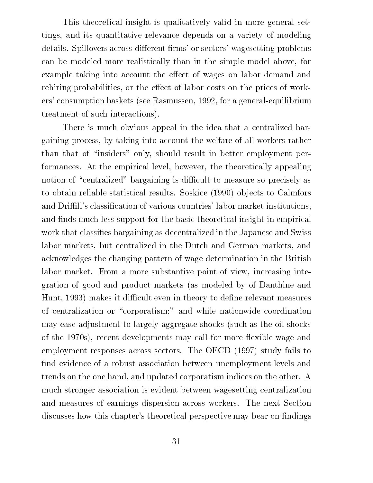This theoretical insight is qualitatively valid in more general settings, and its quantitative relevance depends on a variety of modeling details. Spillovers across different firms' or sectors' wagesetting problems can be modeled more realistically than in the simple model above, for example taking into account the effect of wages on labor demand and rehiring probabilities, or the effect of labor costs on the prices of workers' consumption baskets (see Rasmussen, 1992, for a general-equilibrium treatment of such interactions).

There is much obvious appeal in the idea that a centralized bargaining process, by taking into account the welfare of all workers rather than that of "insiders" only, should result in better employment performances. At the empirical level, however, the theoretically appealing notion of "centralized" bargaining is difficult to measure so precisely as to obtain reliable statistical results. Soskice (1990) ob jects to Calmfors and Driffill's classification of various countries' labor market institutions, and finds much less support for the basic theoretical insight in empirical work that classies bargaining as decentralized in the Japanese and Swiss labor markets, but centralized in the Dutch and German markets, and acknowledges the changing pattern of wage determination in the British labor market. From a more substantive point of view, increasing integration of good and product markets (as modeled by of Danthine and Hunt, 1993) makes it difficult even in theory to define relevant measures of centralization or "corporatism;" and while nationwide coordination may ease adjustment to largely aggregate shocks (such as the oil shocks of the 1970s), recent developments may call for more flexible wage and employment responses across sectors. The OECD (1997) study fails to find evidence of a robust association between unemployment levels and trends on the one hand, and updated corporatism indices on the other. A much stronger association is evident between wagesetting centralization and measures of earnings dispersion across workers. The next Section discusses how this chapter's theoretical perspective may bear on findings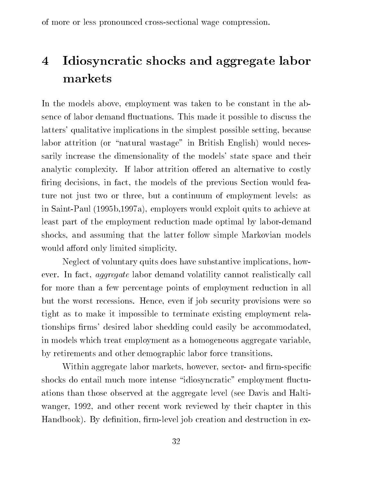of more or less pronounced cross-sectional wage compression.

# 4 Idiosyncratic shocks and aggregate labor markets

In the models above, employment was taken to be constant in the absence of labor demand fluctuations. This made it possible to discuss the latters' qualitative implications in the simplest possible setting, because labor attrition (or "natural wastage" in British English) would necessarily increase the dimensionality of the models' state space and their analytic complexity. If labor attrition offered an alternative to costly firing decisions, in fact, the models of the previous Section would feature not just two or three, but a continuum of employment levels: as in Saint-Paul (1995b,1997a), employers would exploit quits to achieve at least part of the employment reduction made optimal by labor-demand shocks, and assuming that the latter follow simple Markovian models would afford only limited simplicity.

Neglect of voluntary quits does have substantive implications, however. In fact, *aggregate* labor demand volatility cannot realistically call for more than a few percentage points of employment reduction in all but the worst recessions. Hence, even if job security provisions were so tight as to make it impossible to terminate existing employment relationships firms' desired labor shedding could easily be accommodated, in models which treat employment as a homogeneous aggregate variable, by retirements and other demographic labor force transitions.

Within aggregate labor markets, however, sector- and firm-specific shocks do entail much more intense "idiosyncratic" employment fluctuations than those observed at the aggregate level (see Davis and Haltiwanger, 1992, and other recent work reviewed by their chapter in this Handbook). By definition, firm-level job creation and destruction in ex-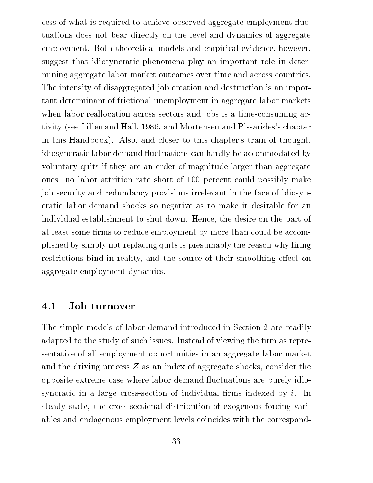cess of what is required to achieve observed aggregate employment fluctuations does not bear directly on the level and dynamics of aggregate employment. Both theoretical models and empirical evidence, however, suggest that idiosyncratic phenomena play an important role in determining aggregate labor market outcomes over time and across countries. The intensity of disaggregated job creation and destruction is an important determinant of frictional unemployment in aggregate labor markets when labor reallocation across sectors and jobs is a time-consuming activity (see Lilien and Hall, 1986, and Mortensen and Pissarides's chapter in this Handbook). Also, and closer to this chapter's train of thought, idiosyncratic labor demand fluctuations can hardly be accommodated by voluntary quits if they are an order of magnitude larger than aggregate ones: no labor attrition rate short of 100 percent could possibly make job security and redundancy provisions irrelevant in the face of idiosyncratic labor demand shocks so negative as to make it desirable for an individual establishment to shut down. Hence, the desire on the part of at least some firms to reduce employment by more than could be accomplished by simply not replacing quits is presumably the reason why firing restrictions bind in reality, and the source of their smoothing effect on aggregate employment dynamics.

### 4.1 Job turnover

The simple models of labor demand introduced in Section 2 are readily adapted to the study of such issues. Instead of viewing the firm as representative of all employment opportunities in an aggregate labor market and the driving process <sup>Z</sup> as an index of aggregate shocks, consider the opposite extreme case where labor demand 
uctuations are purely idiosyncratic in a large cross-section of individual firms indexed by  $i$ . In steady state, the cross-sectional distribution of exogenous forcing variables and endogenous employment levels coincides with the correspond-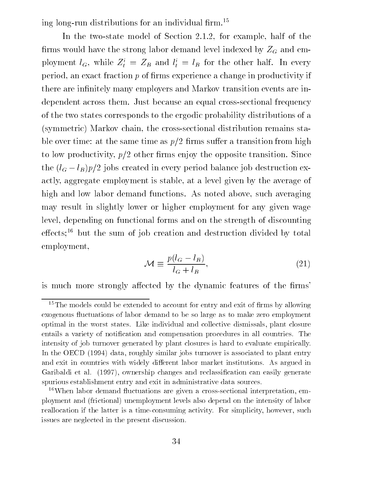ing long-run distributions for an individual firm.<sup>15</sup>

In the two-state model of Section 2.1.2, for example, half of the firms would have the strong labor demand level indexed by  $Z_G$  and employment  $\iota_G$ , while  $\varphi_t = \varphi_B$  and  $\iota_t = \iota_B$  for the other half. In every period, an exact fraction  $p$  of firms experience a change in productivity if there are infinitely many employers and Markov transition events are independent across them. Just because an equal cross-sectional frequency of the two states corresponds to the ergodic probability distributions of a (symmetric) Markov chain, the cross-sectional distribution remains stable over time: at the same time as  $p/2$  firms suffer a transition from high to low productivity,  $p/2$  other firms enjoy the opposite transition. Since the  $(l_G - l_B)p/2$  jobs created in every period balance job destruction exactly, aggregate employment is stable, at a level given by the average of high and low labor demand functions. As noted above, such averaging may result in slightly lower or higher employment for any given wage level, depending on functional forms and on the strength of discounting effects;<sup>16</sup> but the sum of job creation and destruction divided by total employment,

$$
\mathcal{M} \equiv \frac{p(l_G - l_B)}{l_G + l_B},\tag{21}
$$

is much more strongly affected by the dynamic features of the firms'

<sup>&</sup>lt;sup>15</sup>The models could be extended to account for entry and exit of firms by allowing exogenous fluctuations of labor demand to be so large as to make zero employment optimal in the worst states. Like individual and collective dismissals, plant closure entails a variety of notication and compensation procedures in all countries. The intensity of job turnover generated by plant closures is hard to evaluate empirically. In the OECD (1994) data, roughly similar jobs turnover is associated to plant entry and exit in countries with widely different labor market institutions. As argued in Garibaldi et al. (1997), ownership changes and reclassification can easily generate spurious establishment entry and exit in administrative data sources.

 $16$ When labor demand fluctuations are given a cross-sectional interpretation, employment and (frictional) unemployment levels also depend on the intensity of labor reallocation if the latter is a time-consuming activity. For simplicity, however, such issues are neglected in the present discussion.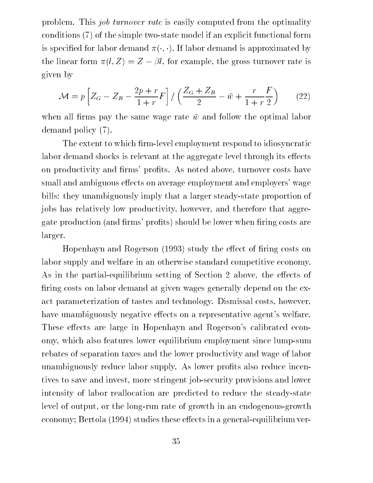problem. This job turnover rate is easily computed from the optimality conditions (7) of the simple two-state model if an explicit functional form is specified for labor demand  $\pi(\cdot, \cdot)$ . If labor demand is approximated by the linear form  $\pi(l, Z) = Z - \beta l$ , for example, the gross turnover rate is given by

$$
\mathcal{M} = p \left[ Z_G - Z_B - \frac{2p+r}{1+r} F \right] / \left( \frac{Z_G + Z_B}{2} - \bar{w} + \frac{r}{1+r} \frac{F}{2} \right) \tag{22}
$$

when all firms pay the same wage rate  $\bar{w}$  and follow the optimal labor demand policy (7).

The extent to which firm-level employment respond to idiosyncratic labor demand shocks is relevant at the aggregate level through its effects on productivity and firms' profits. As noted above, turnover costs have small and ambiguous effects on average employment and employers' wage bills: they unambiguously imply that a larger steady-state proportion of jobs has relatively low productivity, however, and therefore that aggregate production (and firms' profits) should be lower when firing costs are larger.

Hopenhayn and Rogerson (1993) study the effect of firing costs on labor supply and welfare in an otherwise standard competitive economy. As in the partial-equilibrium setting of Section 2 above, the effects of firing costs on labor demand at given wages generally depend on the exact parameterization of tastes and technology. Dismissal costs, however, have unambiguously negative effects on a representative agent's welfare. These effects are large in Hopenhayn and Rogerson's calibrated economy, which also features lower equilibrium employment since lump-sum rebates of separation taxes and the lower productivity and wage of labor unambiguously reduce labor supply. As lower profits also reduce incentives to save and invest, more stringent job-security provisions and lower intensity of labor reallocation are predicted to reduce the steady-state level of output, or the long-run rate of growth in an endogenous-growth economy; Bertola (1994) studies these effects in a general-equilibrium ver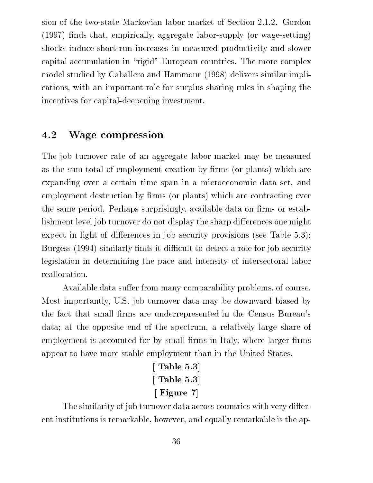sion of the two-state Markovian labor market of Section 2.1.2. Gordon (1997) nds that, empirically, aggregate labor-supply (or wage-setting) shocks induce short-run increases in measured productivity and slower capital accumulation in "rigid" European countries. The more complex model studied by Caballero and Hammour (1998) delivers similar implications, with an important role for surplus sharing rules in shaping the incentives for capital-deepening investment.

## 4.2 Wage compression

The job turnover rate of an aggregate labor market may be measured as the sum total of employment creation by firms (or plants) which are expanding over a certain time span in a microeconomic data set, and employment destruction by firms (or plants) which are contracting over the same period. Perhaps surprisingly, available data on firm- or establishment level job turnover do not display the sharp differences one might expect in light of differences in job security provisions (see Table 5.3); Burgess (1994) similarly finds it difficult to detect a role for job security legislation in determining the pace and intensity of intersectoral labor reallocation.

Available data suffer from many comparability problems, of course. Most importantly, U.S. job turnover data may be downward biased by the fact that small firms are underrepresented in the Census Bureau's data; at the opposite end of the spectrum, a relatively large share of employment is accounted for by small firms in Italy, where larger firms appear to have more stable employment than in the United States.

$$
\begin{array}{c} [\text{ Table 5.3}] \\ [\text{Table 5.3}] \\ [\text{ Figure 7}] \end{array}
$$

The similarity of job turnover data across countries with very different institutions is remarkable, however, and equally remarkable is the ap-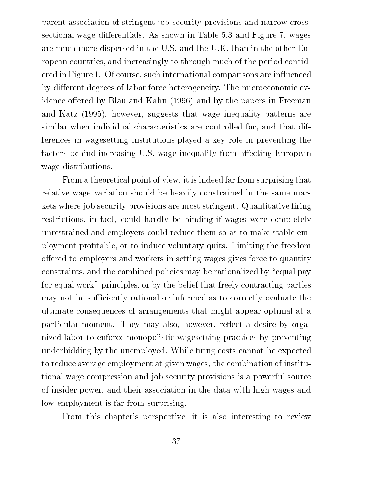parent association of stringent job security provisions and narrow crosssectional wage differentials. As shown in Table 5.3 and Figure 7, wages are much more dispersed in the U.S. and the U.K. than in the other European countries, and increasingly so through much of the period considered in Figure 1. Of course, such international comparisons are influenced by different degrees of labor force heterogeneity. The microeconomic evidence offered by Blau and Kahn (1996) and by the papers in Freeman and Katz (1995), however, suggests that wage inequality patterns are similar when individual characteristics are controlled for, and that differences in wagesetting institutions played a key role in preventing the factors behind increasing U.S. wage inequality from affecting European wage distributions.

From a theoretical point of view, it is indeed far from surprising that relative wage variation should be heavily constrained in the same markets where job security provisions are most stringent. Quantitative firing restrictions, in fact, could hardly be binding if wages were completely unrestrained and employers could reduce them so as to make stable employment protable, or to induce voluntary quits. Limiting the freedom offered to employers and workers in setting wages gives force to quantity constraints, and the combined policies may be rationalized by "equal pay for equal work" principles, or by the belief that freely contracting parties may not be sufficiently rational or informed as to correctly evaluate the ultimate consequences of arrangements that might appear optimal at a particular moment. They may also, however, reflect a desire by organized labor to enforce monopolistic wagesetting practices by preventing underbidding by the unemployed. While firing costs cannot be expected to reduce average employment at given wages, the combination of institutional wage compression and job security provisions is a powerful source of insider power, and their association in the data with high wages and low employment is far from surprising.

From this chapter's perspective, it is also interesting to review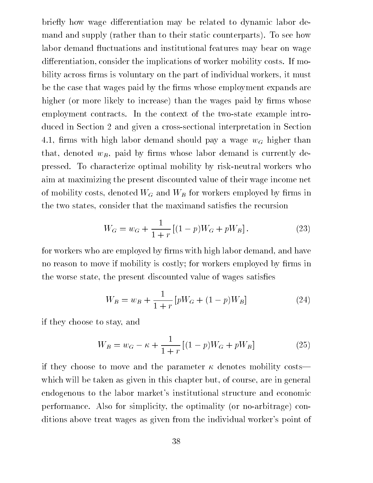briefly how wage differentiation may be related to dynamic labor demand and supply (rather than to their static counterparts). To see how labor demand fluctuations and institutional features may bear on wage differentiation, consider the implications of worker mobility costs. If mobility across firms is voluntary on the part of individual workers, it must be the case that wages paid by the firms whose employment expands are higher (or more likely to increase) than the wages paid by firms whose employment contracts. In the context of the two-state example introduced in Section 2 and given a cross-sectional interpretation in Section 4.1, firms with high labor demand should pay a wage  $w_G$  higher than that, denoted  $w_B$ , paid by firms whose labor demand is currently depressed. To characterize optimal mobility by risk-neutral workers who aim at maximizing the present discounted value of their wage income net of mobility costs, denoted  $W_G$  and  $W_B$  for workers employed by firms in the two states, consider that the maximand satisfies the recursion

$$
W_G = w_G + \frac{1}{1+r} \left[ (1-p)W_G + pW_B \right].
$$
 (23)

for workers who are employed by firms with high labor demand, and have no reason to move if mobility is costly; for workers employed by firms in the worse state, the present discounted value of wages satisfies

$$
W_B = w_B + \frac{1}{1+r} \left[ pW_G + (1-p)W_B \right] \tag{24}
$$

if they choose to stay, and

$$
W_B = w_G - \kappa + \frac{1}{1+r} \left[ (1-p)W_G + pW_B \right] \tag{25}
$$

if they choose to move and the parameter  $\kappa$  denotes mobility costs which will be taken as given in this chapter but, of course, are in general endogenous to the labor market's institutional structure and economic performance. Also for simplicity, the optimality (or no-arbitrage) conditions above treat wages as given from the individual worker's point of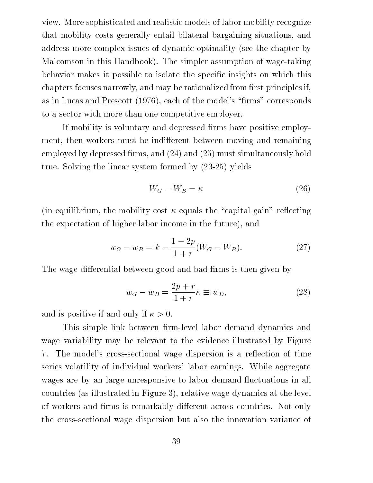view. More sophisticated and realistic models of labor mobility recognize that mobility costs generally entail bilateral bargaining situations, and address more complex issues of dynamic optimality (see the chapter by Malcomson in this Handbook). The simpler assumption of wage-taking behavior makes it possible to isolate the specic insights on which this chapters focuses narrowly, and may be rationalized from first principles if, as in Lucas and Prescott (1976), each of the model's "firms" corresponds to a sector with more than one competitive employer.

If mobility is voluntary and depressed firms have positive employment, then workers must be indifferent between moving and remaining employed by depressed firms, and  $(24)$  and  $(25)$  must simultaneously hold true. Solving the linear system formed by (23-25) yields

$$
W_G - W_B = \kappa \tag{26}
$$

(in equilibrium, the mobility cost  $\kappa$  equals the "capital gain" reflecting the expectation of higher labor income in the future), and

$$
w_G - w_B = k - \frac{1 - 2p}{1 + r}(W_G - W_B). \tag{27}
$$

The wage differential between good and bad firms is then given by

$$
w_G - w_B = \frac{2p + r}{1 + r} \kappa \equiv w_D,\tag{28}
$$

and is positive if and only if  $\kappa > 0$ .

This simple link between firm-level labor demand dynamics and wage variability may be relevant to the evidence illustrated by Figure 7. The model's cross-sectional wage dispersion is a reflection of time series volatility of individual workers' labor earnings. While aggregate wages are by an large unresponsive to labor demand fluctuations in all countries (as illustrated in Figure 3), relative wage dynamics at the level of workers and firms is remarkably different across countries. Not only the cross-sectional wage dispersion but also the innovation variance of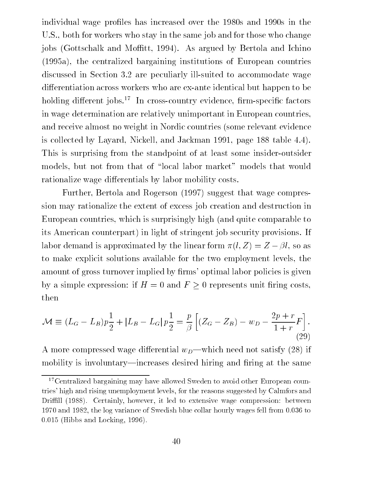individual wage profiles has increased over the 1980s and 1990s in the U.S., both for workers who stay in the same job and for those who change jobs (Gottschalk and Moffitt, 1994). As argued by Bertola and Ichino (1995a), the centralized bargaining institutions of European countries discussed in Section 3.2 are peculiarly ill-suited to accommodate wage differentiation across workers who are ex-ante identical but happen to be holding different jobs.<sup>17</sup> In cross-country evidence, firm-specific factors in wage determination are relatively unimportant in European countries, and receive almost no weight in Nordic countries (some relevant evidence is collected by Layard, Nickell, and Jackman 1991, page 188 table 4.4). This is surprising from the standpoint of at least some insider-outsider models, but not from that of "local labor market" models that would rationalize wage differentials by labor mobility costs.

Further, Bertola and Rogerson (1997) suggest that wage compression may rationalize the extent of excess job creation and destruction in European countries, which is surprisingly high (and quite comparable to its American counterpart) in light of stringent job security provisions. If labor demand is approximated by the linear form  $\pi(l, Z) = Z - \beta l$ , so as to make explicit solutions available for the two employment levels, the amount of gross turnover implied by firms' optimal labor policies is given by a simple expression: if  $H=0$  and  $F\geq 0$  represents unit firing costs, then

$$
\mathcal{M} \equiv (L_G - L_B) p \frac{1}{2} + |L_B - L_G| p \frac{1}{2} = \frac{p}{\beta} \left[ (Z_G - Z_B) - w_D - \frac{2p + r}{1 + r} F \right].
$$
\n(29)

A more compressed wage differential  $w_D$ —which need not satisfy (28) if mobility is involuntary—increases desired hiring and firing at the same

<sup>&</sup>lt;sup>17</sup>Centralized bargaining may have allowed Sweden to avoid other European countries' high and rising unemployment levels, for the reasons suggested by Calmfors and Driffill (1988). Certainly, however, it led to extensive wage compression: between 1970 and 1982, the log variance of Swedish blue collar hourly wages fell from 0.036 to 0.015 (Hibbs and Locking, 1996).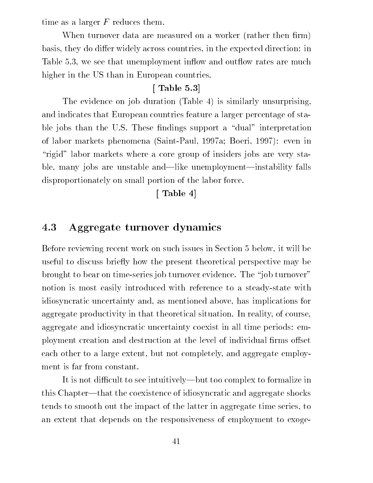time as a larger  $F$  reduces them.

When turnover data are measured on a worker (rather then firm) basis, they do differ widely across countries, in the expected direction: in Table 5.3, we see that unemployment inflow and outflow rates are much higher in the US than in European countries.

#### [ Table 5.3]

The evidence on job duration (Table 4) is similarly unsurprising, and indicates that European countries feature a larger percentage of stable jobs than the U.S. These findings support a "dual" interpretation of labor markets phenomena (Saint-Paul, 1997a; Boeri, 1997): even in "rigid" labor markets where a core group of insiders jobs are very stable, many jobs are unstable and—like unemployment—instability falls disproportionately on small portion of the labor force.

#### [ Table 4]

### 4.3 Aggregate turnover dynamics

Before reviewing recent work on such issues in Section 5 below, it will be useful to discuss briefly how the present theoretical perspective may be brought to bear on time-series job turnover evidence. The "job turnover" notion is most easily introduced with reference to a steady-state with idiosyncratic uncertainty and, as mentioned above, has implications for aggregate productivity in that theoretical situation. In reality, of course, aggregate and idiosyncratic uncertainty coexist in all time periods: employment creation and destruction at the level of individual firms offset each other to a large extent, but not completely, and aggregate employment is far from constant.

It is not difficult to see intuitively—but too complex to formalize in this Chapter—that the coexistence of idiosyncratic and aggregate shocks tends to smooth out the impact of the latter in aggregate time series, to an extent that depends on the responsiveness of employment to exoge-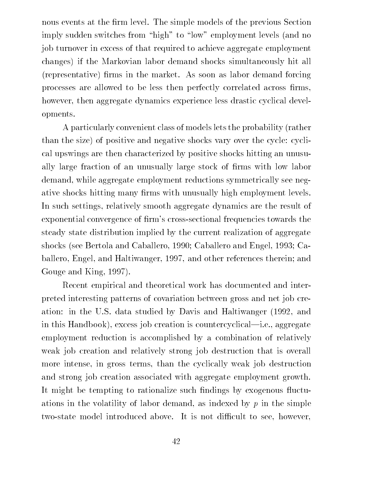nous events at the firm level. The simple models of the previous Section imply sudden switches from "high" to "low" employment levels (and no job turnover in excess of that required to achieve aggregate employment changes) if the Markovian labor demand shocks simultaneously hit all (representative) firms in the market. As soon as labor demand forcing processes are allowed to be less then perfectly correlated across firms, however, then aggregate dynamics experience less drastic cyclical developments.

A particularly convenient class of models lets the probability (rather than the size) of positive and negative shocks vary over the cycle: cyclical upswings are then characterized by positive shocks hitting an unusually large fraction of an unusually large stock of firms with low labor demand, while aggregate employment reductions symmetrically see negative shocks hitting many firms with unusually high employment levels. In such settings, relatively smooth aggregate dynamics are the result of exponential convergence of firm's cross-sectional frequencies towards the steady state distribution implied by the current realization of aggregate shocks (see Bertola and Caballero, 1990; Caballero and Engel, 1993; Caballero, Engel, and Haltiwanger, 1997, and other references therein; and Gouge and King, 1997).

Recent empirical and theoretical work has documented and interpreted interesting patterns of covariation between gross and net job creation: in the U.S. data studied by Davis and Haltiwanger (1992, and in this Handbook), excess job creation is countercyclical—i.e., aggregate employment reduction is accomplished by a combination of relatively weak job creation and relatively strong job destruction that is overall more intense, in gross terms, than the cyclically weak job destruction and strong job creation associated with aggregate employment growth. It might be tempting to rationalize such findings by exogenous fluctuations in the volatility of labor demand, as indexed by  $p$  in the simple two-state model introduced above. It is not difficult to see, however,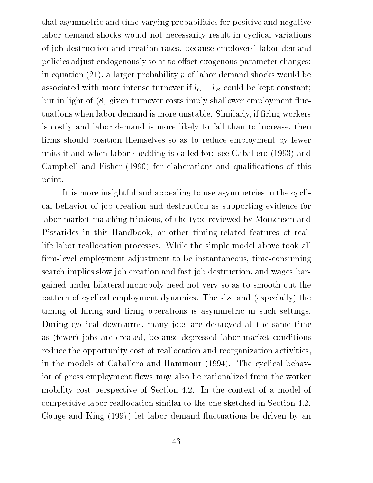that asymmetric and time-varying probabilities for positive and negative labor demand shocks would not necessarily result in cyclical variations of job destruction and creation rates, because employers' labor demand policies adjust endogenously so as to offset exogenous parameter changes: in equation (21), a larger probability  $p$  of labor demand shocks would be associated with more intense turnover if  $l_G - l_B$  could be kept constant; but in light of (8) given turnover costs imply shallower employment fluctuations when labor demand is more unstable. Similarly, if firing workers is costly and labor demand is more likely to fall than to increase, then firms should position themselves so as to reduce employment by fewer units if and when labor shedding is called for: see Caballero (1993) and Campbell and Fisher (1996) for elaborations and qualications of this point.

It is more insightful and appealing to use asymmetries in the cyclical behavior of job creation and destruction as supporting evidence for labor market matching frictions, of the type reviewed by Mortensen and Pissarides in this Handbook, or other timing-related features of reallife labor reallocation processes. While the simple model above took all rm-level employment adjustment to be instantaneous, time-consuming search implies slow job creation and fast job destruction, and wages bargained under bilateral monopoly need not very so as to smooth out the pattern of cyclical employment dynamics. The size and (especially) the timing of hiring and firing operations is asymmetric in such settings. During cyclical downturns, many jobs are destroyed at the same time as (fewer) jobs are created, because depressed labor market conditions reduce the opportunity cost of reallocation and reorganization activities, in the models of Caballero and Hammour (1994). The cyclical behavior of gross employment flows may also be rationalized from the worker mobility cost perspective of Section 4.2. In the context of a model of competitive labor reallocation similar to the one sketched in Section 4.2, Gouge and King (1997) let labor demand fluctuations be driven by an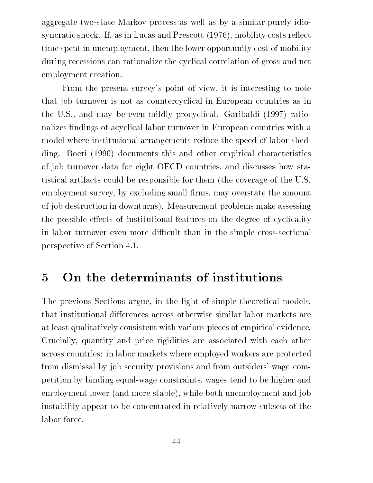aggregate two-state Markov process as well as by a similar purely idiosyncratic shock. If, as in Lucas and Prescott (1976), mobility costs reflect time spent in unemployment, then the lower opportunity cost of mobility during recessions can rationalize the cyclical correlation of gross and net employment creation.

From the present survey's point of view, it is interesting to note that job turnover is not as countercyclical in European countries as in the U.S., and may be even mildly procyclical. Garibaldi (1997) rationalizes ndings of acyclical labor turnover in European countries with a model where institutional arrangements reduce the speed of labor shedding. Boeri (1996) documents this and other empirical characteristics of job turnover data for eight OECD countries, and discusses how statistical artifacts could be responsible for them (the coverage of the U.S. employment survey, by excluding small firms, may overstate the amount of job destruction in downturns). Measurement problems make assessing the possible effects of institutional features on the degree of cyclicality in labor turnover even more difficult than in the simple cross-sectional perspective of Section 4.1.

#### 5 On the determinants of institutions  $\overline{5}$

The previous Sections argue, in the light of simple theoretical models, that institutional differences across otherwise similar labor markets are at least qualitatively consistent with various pieces of empirical evidence. Crucially, quantity and price rigidities are associated with each other across countries: in labor markets where employed workers are protected from dismissal by job security provisions and from outsiders' wage competition by binding equal-wage constraints, wages tend to be higher and employment lower (and more stable), while both unemployment and job instability appear to be concentrated in relatively narrow subsets of the labor force.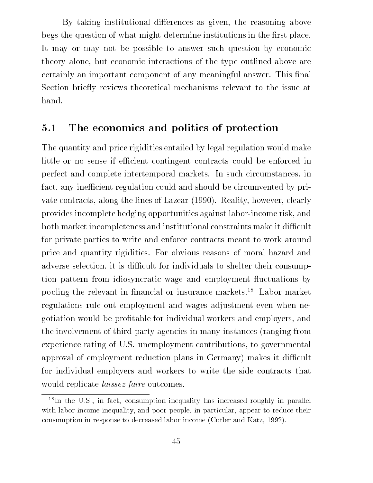By taking institutional differences as given, the reasoning above begs the question of what might determine institutions in the first place. It may or may not be possible to answer such question by economic theory alone, but economic interactions of the type outlined above are certainly an important component of any meaningful answer. This final Section briefly reviews theoretical mechanisms relevant to the issue at hand.

#### 5.1 The economics and politics of protection

The quantity and price rigidities entailed by legal regulation would make little or no sense if efficient contingent contracts could be enforced in perfect and complete intertemporal markets. In such circumstances, in fact, any inefficient regulation could and should be circumvented by private contracts, along the lines of Lazear (1990). Reality, however, clearly provides incomplete hedging opportunities against labor-income risk, and  $both market in completeness and institutional constraints make it difficult to be used.$ for private parties to write and enforce contracts meant to work around price and quantity rigidities. For obvious reasons of moral hazard and adverse selection, it is difficult for individuals to shelter their consumption pattern from idiosyncratic wage and employment fluctuations by pooling the relevant in financial or insurance markets.<sup>18</sup> Labor market regulations rule out employment and wages adjustment even when negotiation would be protable for individual workers and employers, and the involvement of third-party agencies in many instances (ranging from experience rating of U.S. unemployment contributions, to governmental approval of employment reduction plans in Germany) makes it difficult for individual employers and workers to write the side contracts that would replicate *laissez faire* outcomes.

<sup>18</sup>In the U.S., in fact, consumption inequality has increased roughly in parallel with labor-income inequality, and poor people, in particular, appear to reduce their consumption in response to decreased labor income (Cutler and Katz, 1992).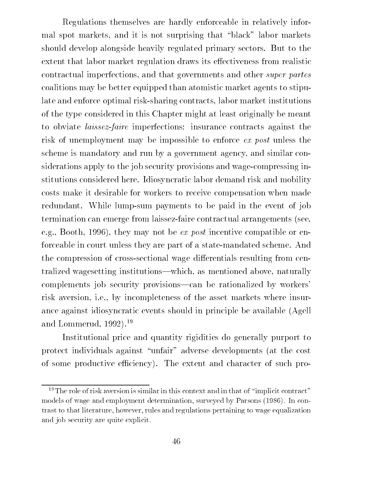Regulations themselves are hardly enforceable in relatively informal spot markets, and it is not surprising that "black" labor markets should develop alongside heavily regulated primary sectors. But to the extent that labor market regulation draws its effectiveness from realistic contractual imperfections, and that governments and other super partes coalitions may be better equipped than atomistic market agents to stipulate and enforce optimal risk-sharing contracts, labor market institutions of the type considered in this Chapter might at least originally be meant to obviate laissez-faire imperfections: insurance contracts against the risk of unemployment may be impossible to enforce ex post unless the scheme is mandatory and run by a government agency, and similar considerations apply to the job security provisions and wage-compressing institutions considered here. Idiosyncratic labor demand risk and mobility costs make it desirable for workers to receive compensation when made redundant. While lump-sum payments to be paid in the event of job termination can emerge from laissez-faire contractual arrangements (see, e.g., Booth, 1996), they may not be *ex post* incentive compatible or enforceable in court unless they are part of a state-mandated scheme. And the compression of cross-sectional wage differentials resulting from centralized wagesetting institutions—which, as mentioned above, naturally complements job security provisions—can be rationalized by workers' risk aversion, i.e., by incompleteness of the asset markets where insurance against idiosyncratic events should in principle be available (Agell and Lommerud, 1992).<sup>19</sup>

Institutional price and quantity rigidities do generally purport to protect individuals against "unfair" adverse developments (at the cost of some productive efficiency). The extent and character of such pro-

 $19$ The role of risk aversion is similar in this context and in that of "implicit contract" models of wage and employment determination, surveyed by Parsons (1986). In contrast to that literature, however, rules and regulations pertaining to wage equalization and job security are quite explicit.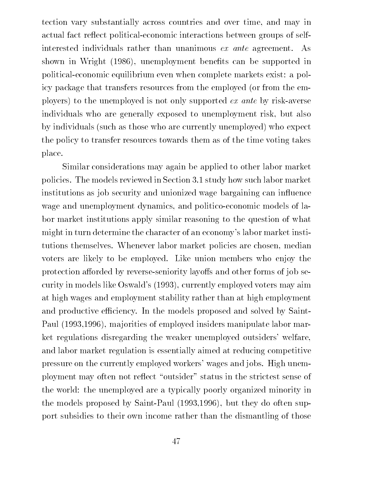tection vary substantially across countries and over time, and may in actual fact reflect political-economic interactions between groups of selfinterested individuals rather than unanimous ex ante agreement. As shown in Wright (1986), unemployment benefits can be supported in political-economic equilibrium even when complete markets exist: a policy package that transfers resources from the employed (or from the employers) to the unemployed is not only supported ex ante by risk-averse individuals who are generally exposed to unemployment risk, but also by individuals (such as those who are currently unemployed) who expect the policy to transfer resources towards them as of the time voting takes place.

Similar considerations may again be applied to other labor market policies. The models reviewed in Section 3.1 study how such labor market institutions as job security and unionized wage bargaining can influence wage and unemployment dynamics, and politico-economic models of labor market institutions apply similar reasoning to the question of what might in turn determine the character of an economy's labor market institutions themselves. Whenever labor market policies are chosen, median voters are likely to be employed. Like union members who enjoy the protection afforded by reverse-seniority layoffs and other forms of job security in models like Oswald's (1993), currently employed voters may aim at high wages and employment stability rather than at high employment and productive efficiency. In the models proposed and solved by Saint-Paul (1993,1996), ma jorities of employed insiders manipulate labor market regulations disregarding the weaker unemployed outsiders' welfare, and labor market regulation is essentially aimed at reducing competitive pressure on the currently employed workers' wages and jobs. High unemployment may often not reflect "outsider" status in the strictest sense of the world: the unemployed are a typically poorly organized minority in the models proposed by Saint-Paul (1993,1996), but they do often support subsidies to their own income rather than the dismantling of those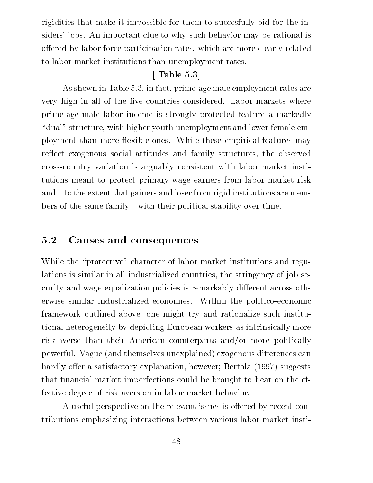rigidities that make it impossible for them to succesfully bid for the insiders' jobs. An important clue to why such behavior may be rational is offered by labor force participation rates, which are more clearly related to labor market institutions than unemployment rates.

#### [ Table 5.3]

As shown in Table 5.3, in fact, prime-age male employment rates are very high in all of the five countries considered. Labor markets where prime-age male labor income is strongly protected feature a markedly " dual" structure, with higher youth unemployment and lower female employment than more flexible ones. While these empirical features may reflect exogenous social attitudes and family structures, the observed cross-country variation is arguably consistent with labor market institutions meant to protect primary wage earners from labor market risk and—to the extent that gainers and loser from rigid institutions are members of the same family—with their political stability over time.

### 5.2 Causes and consequences

While the "protective" character of labor market institutions and regulations is similar in all industrialized countries, the stringency of job security and wage equalization policies is remarkably different across otherwise similar industrialized economies. Within the politico-economic framework outlined above, one might try and rationalize such institutional heterogeneity by depicting European workers as intrinsically more risk-averse than their American counterparts and/or more politically powerful. Vague (and themselves unexplained) exogenous differences can hardly offer a satisfactory explanation, however; Bertola (1997) suggests that financial market imperfections could be brought to bear on the effective degree of risk aversion in labor market behavior.

A useful perspective on the relevant issues is offered by recent contributions emphasizing interactions between various labor market insti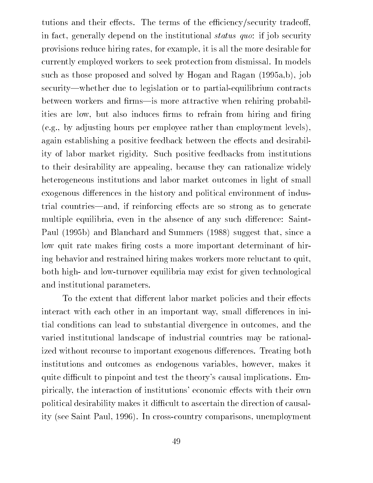tutions and their effects. The terms of the efficiency/security tradeoff, in fact, generally depend on the institutional status quo: if job security provisions reduce hiring rates, for example, it is all the more desirable for currently employed workers to seek protection from dismissal. In models such as those proposed and solved by Hogan and Ragan (1995a,b), job security—whether due to legislation or to partial-equilibrium contracts between workers and firms—is more attractive when rehiring probabilities are low, but also induces firms to refrain from hiring and firing (e.g., by adjusting hours per employee rather than employment levels), again establishing a positive feedback between the effects and desirability of labor market rigidity. Such positive feedbacks from institutions to their desirability are appealing, because they can rationalize widely heterogeneous institutions and labor market outcomes in light of small exogenous differences in the history and political environment of industrial countries—and, if reinforcing effects are so strong as to generate multiple equilibria, even in the absence of any such difference: Saint-Paul (1995b) and Blanchard and Summers (1988) suggest that, since a low quit rate makes firing costs a more important determinant of hiring behavior and restrained hiring makes workers more reluctant to quit, both high- and low-turnover equilibria may exist for given technological and institutional parameters.

To the extent that different labor market policies and their effects interact with each other in an important way, small differences in initial conditions can lead to substantial divergence in outcomes, and the varied institutional landscape of industrial countries may be rationalized without recourse to important exogenous differences. Treating both institutions and outcomes as endogenous variables, however, makes it quite difficult to pinpoint and test the theory's causal implications. Empirically, the interaction of institutions' economic effects with their own political desirability makes it difficult to ascertain the direction of causality (see Saint Paul, 1996). In cross-country comparisons, unemployment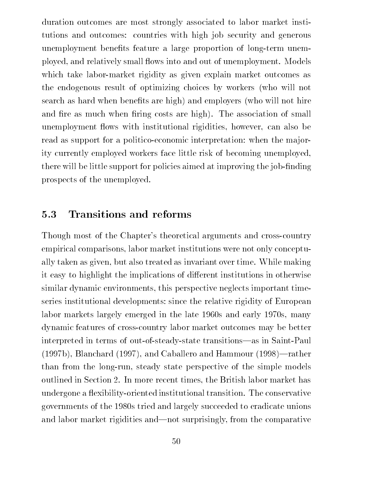duration outcomes are most strongly associated to labor market institutions and outcomes: countries with high job security and generous unemployment benefits feature a large proportion of long-term unemployed, and relatively small flows into and out of unemployment. Models which take labor-market rigidity as given explain market outcomes as the endogenous result of optimizing choices by workers (who will not search as hard when benets are high) and employers (who will not hire and fire as much when firing costs are high). The association of small unemployment flows with institutional rigidities, however, can also be read as support for a politico-economic interpretation: when the majority currently employed workers face little risk of becoming unemployed, there will be little support for policies aimed at improving the job-finding prospects of the unemployed.

Though most of the Chapter's theoretical arguments and cross-country empirical comparisons, labor market institutions were not only conceptually taken as given, but also treated as invariant over time. While making it easy to highlight the implications of different institutions in otherwise similar dynamic environments, this perspective neglects important timeseries institutional developments: since the relative rigidity of European labor markets largely emerged in the late 1960s and early 1970s, many dynamic features of cross-country labor market outcomes may be better interpreted in terms of out-of-steady-state transitions—as in Saint-Paul (1997b), Blanchard (1997), and Caballero and Hammour (1998)—rather than from the long-run, steady state perspective of the simple models outlined in Section 2. In more recent times, the British labor market has undergone a flexibility-oriented institutional transition. The conservative governments of the 1980s tried and largely succeeded to eradicate unions and labor market rigidities and—not surprisingly, from the comparative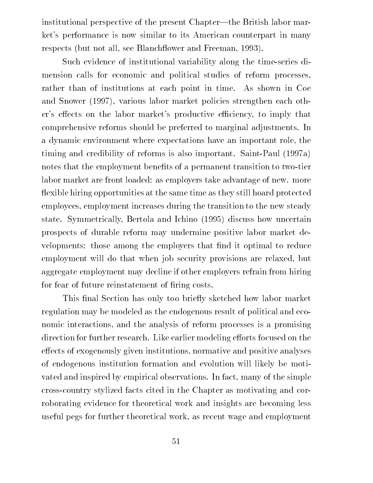institutional perspective of the present Chapter—the British labor market's performance is now similar to its American counterpart in many respects (but not all, see Blanchflower and Freeman, 1993).

Such evidence of institutional variability along the time-series dimension calls for economic and political studies of reform processes, rather than of institutions at each point in time. As shown in Coe and Snower (1997), various labor market policies strengthen each other's effects on the labor market's productive efficiency, to imply that comprehensive reforms should be preferred to marginal adjustments. In a dynamic environment where expectations have an important role, the timing and credibility of reforms is also important. Saint-Paul (1997a) notes that the employment benefits of a permanent transition to two-tier labor market are front loaded: as employers take advantage of new. more flexible hiring opportunities at the same time as they still hoard protected employees, employment increases during the transition to the new steady state. Symmetrically, Bertola and Ichino (1995) discuss how uncertain prospects of durable reform may undermine positive labor market developments: those among the employers that find it optimal to reduce employment will do that when job security provisions are relaxed, but aggregate employment may decline if other employers refrain from hiring for fear of future reinstatement of firing costs.

This final Section has only too briefly sketched how labor market regulation may be modeled as the endogenous result of political and economic interactions, and the analysis of reform processes is a promising direction for further research. Like earlier modeling efforts focused on the effects of exogenously given institutions, normative and positive analyses of endogenous institution formation and evolution will likely be motivated and inspired by empirical observations. In fact, many of the simple cross-country stylized facts cited in the Chapter as motivating and corroborating evidence for theoretical work and insights are becoming less useful pegs for further theoretical work, as recent wage and employment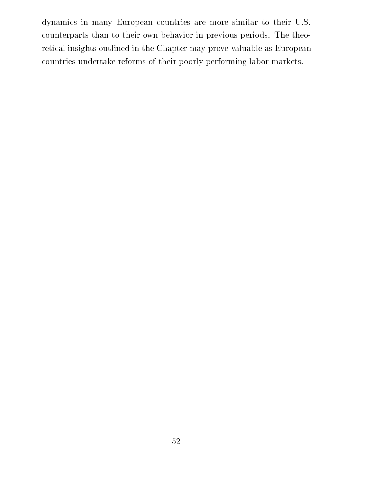dynamics in many European countries are more similar to their U.S. counterparts than to their own behavior in previous periods. The theoretical insights outlined in the Chapter may prove valuable as European countries undertake reforms of their poorly performing labor markets.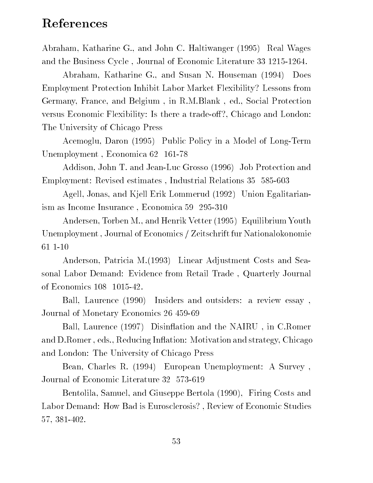# References

Abraham, Katharine G., and John C. Haltiwanger (1995) Real Wages and the Business Cycle , Journal of Economic Literature 33 1215-1264.

Abraham, Katharine G., and Susan N. Houseman (1994) Does Employment Protection Inhibit Labor Market Flexibility? Lessons from Germany, France, and Belgium , in R.M.Blank , ed., Social Protection versus Economic Flexibility: Is there a trade-off?, Chicago and London: The University of Chicago Press

Acemoglu, Daron (1995) Public Policy in a Model of Long-Term Unemployment , Economica 62 161-78

Addison, John T. and Jean-Luc Grosso (1996) Job Protection and Employment: Revised estimates , Industrial Relations 35 585-603

Agell, Jonas, and Kjell Erik Lommerud (1992) Union Egalitarianism as Income Insurance , Economica 59 295-310

Andersen, Torben M., and Henrik Vetter (1995) Equilibrium Youth Unemployment , Journal of Economics / Zeitschrift fur Nationalokonomie 61 1-10

Anderson, Patricia M.(1993) Linear Adjustment Costs and Seasonal Labor Demand: Evidence from Retail Trade , Quarterly Journal of Economics 108 1015-42.

Ball, Laurence (1990) Insiders and outsiders: a review essay , Journal of Monetary Economics 26 459-69

Ball, Laurence (1997) Disinflation and the NAIRU, in C.Romer and D.Romer, eds., Reducing Inflation: Motivation and strategy, Chicago and London: The University of Chicago Press

Bean, Charles R. (1994) European Unemployment: A Survey , Journal of Economic Literature 32 573-619

Bentolila, Samuel, and Giuseppe Bertola (1990), Firing Costs and Labor Demand: How Bad is Eurosclerosis? , Review of Economic Studies 57, 381-402.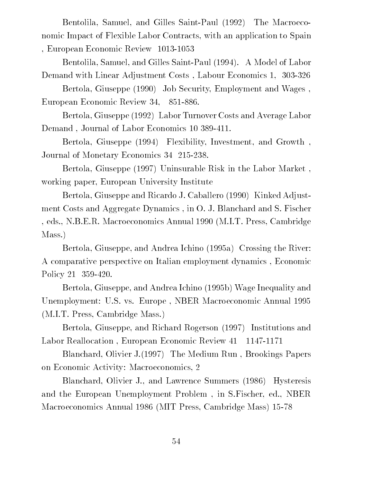Bentolila, Samuel, and Gilles Saint-Paul (1992) The Macroeconomic Impact of Flexible Labor Contracts, with an application to Spain , European Economic Review 1013-1053

Bentolila, Samuel, and Gilles Saint-Paul (1994). A Model of Labor Demand with Linear Adjustment Costs , Labour Economics 1, 303-326

Bertola, Giuseppe (1990) Job Security, Employment and Wages , European Economic Review 34, 851-886.

Bertola, Giuseppe (1992) Labor Turnover Costs and Average Labor Demand , Journal of Labor Economics 10 389-411.

Bertola, Giuseppe (1994) Flexibility, Investment, and Growth , Journal of Monetary Economics 34 215-238.

Bertola, Giuseppe (1997) Uninsurable Risk in the Labor Market , working paper, European University Institute

Bertola, Giuseppe and Ricardo J. Caballero (1990) Kinked Adjustment Costs and Aggregate Dynamics , in O. J. Blanchard and S. Fischer , eds., N.B.E.R. Macroeconomics Annual 1990 (M.I.T. Press, Cambridge Mass.)

Bertola, Giuseppe, and Andrea Ichino (1995a) Crossing the River: A comparative perspective on Italian employment dynamics , Economic Policy 21 359-420.

Bertola, Giuseppe, and Andrea Ichino (1995b) Wage Inequality and Unemployment: U.S. vs. Europe , NBER Macroeconomic Annual 1995 (M.I.T. Press, Cambridge Mass.)

Bertola, Giuseppe, and Richard Rogerson (1997) Institutions and Labor Reallocation , European Economic Review 41 1147-1171

Blanchard, Olivier J.(1997) The Medium Run , Brookings Papers on Economic Activity: Macroeconomics, 2

Blanchard, Olivier J., and Lawrence Summers (1986) Hysteresis and the European Unemployment Problem , in S.Fischer, ed., NBER Macroeconomics Annual 1986 (MIT Press, Cambridge Mass) 15-78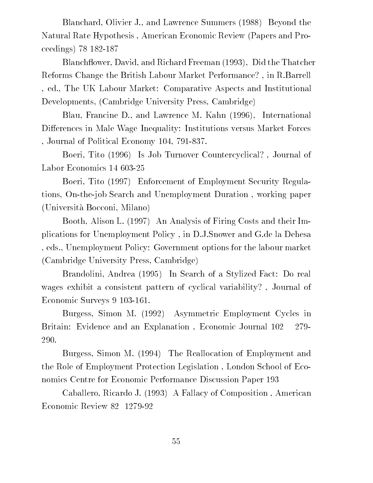Blanchard, Olivier J., and Lawrence Summers (1988) Beyond the Natural Rate Hypothesis , American Economic Review (Papers and Proceedings) 78 182-187

Blanchflower, David, and Richard Freeman (1993), Did the Thatcher Reforms Change the British Labour Market Performance? , in R.Barrell , ed., The UK Labour Market: Comparative Aspects and Institutional Developments, (Cambridge University Press, Cambridge)

Blau, Francine D., and Lawrence M. Kahn (1996), International Differences in Male Wage Inequality: Institutions versus Market Forces , Journal of Political Economy 104, 791-837.

Boeri, Tito (1996) Is Job Turnover Countercyclical? , Journal of Labor Economics 14 603-25

Boeri, Tito (1997) Enforcement of Employment Security Regulations, On-the-job Search and Unemployment Duration , working paper (Universita Bocconi, Milano)

Booth, Alison L. (1997) An Analysis of Firing Costs and their Implications for Unemployment Policy , in D.J.Snower and G.de la Dehesa , eds., Unemployment Policy: Government options for the labour market (Cambridge University Press, Cambridge)

Brandolini, Andrea (1995) In Search of a Stylized Fact: Do real wages exhibit a consistent pattern of cyclical variability? , Journal of Economic Surveys 9 103-161.

Burgess, Simon M. (1992) Asymmetric Employment Cycles in Britain: Evidence and an Explanation , Economic Journal 102 279- 290.

Burgess, Simon M. (1994) The Reallocation of Employment and the Role of Employment Protection Legislation , London School of Economics Centre for Economic Performance Discussion Paper 193

Caballero, Ricardo J. (1993) A Fallacy of Composition , American Economic Review 82 1279-92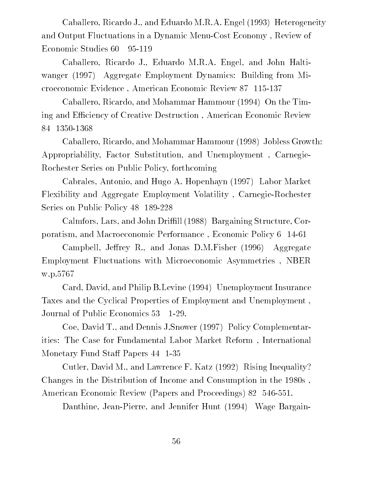Caballero, Ricardo J., and Eduardo M.R.A. Engel (1993) Heterogeneity and Output Fluctuations in a Dynamic Menu-Cost Economy , Review of Economic Studies 60 95-119

Caballero, Ricardo J., Eduardo M.R.A. Engel, and John Haltiwanger (1997) Aggregate Employment Dynamics: Building from Microeconomic Evidence , American Economic Review 87 115-137

Caballero, Ricardo, and Mohammar Hammour (1994) On the Timing and Efficiency of Creative Destruction, American Economic Review 84 1350-1368

Caballero, Ricardo, and Mohammar Hammour (1998) Jobless Growth: Appropriability, Factor Substitution, and Unemployment , Carnegie-Rochester Series on Public Policy, forthcoming

Cabrales, Antonio, and Hugo A. Hopenhayn (1997) Labor Market Flexibility and Aggregate Employment Volatility , Carnegie-Rochester Series on Public Policy 48 189-228

Calmfors, Lars, and John Driffill (1988) Bargaining Structure, Corporatism, and Macroeconomic Performance , Economic Policy 6 14-61

Campbell, Jeffrey R., and Jonas D.M.Fisher (1996) Aggregate Employment Fluctuations with Microeconomic Asymmetries , NBER w.p.5767

Card, David, and Philip B.Levine (1994) Unemployment Insurance Taxes and the Cyclical Properties of Employment and Unemployment , Journal of Public Economics 53  $1-29.$ 

Coe, David T., and Dennis J.Snower (1997) Policy Complementarities: The Case for Fundamental Labor Market Reform , International Monetary Fund Staff Papers 44 1-35

Cutler, David M., and Lawrence F. Katz (1992) Rising Inequality? Changes in the Distribution of Income and Consumption in the 1980s , American Economic Review (Papers and Proceedings) 82 546-551.

Danthine, Jean-Pierre, and Jennifer Hunt (1994) Wage Bargain-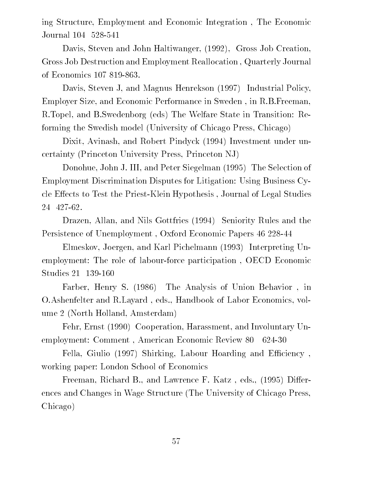ing Structure, Employment and Economic Integration , The Economic Journal 104 528-541

Davis, Steven and John Haltiwanger, (1992), Gross Job Creation, Gross Job Destruction and Employment Reallocation , Quarterly Journal of Economics 107 819-863.

Davis, Steven J, and Magnus Henrekson (1997) Industrial Policy, Employer Size, and Economic Performance in Sweden , in R.B.Freeman, R.Topel, and B.Swedenborg (eds) The Welfare State in Transition: Reforming the Swedish model (University of Chicago Press, Chicago)

Dixit, Avinash, and Robert Pindyck (1994) Investment under uncertainty (Princeton University Press, Princeton NJ)

Donohue, John J. III, and Peter Siegelman (1995) The Selection of Employment Discrimination Disputes for Litigation: Using Business Cycle Effects to Test the Priest-Klein Hypothesis , Journal of Legal Studies 24 427-62.

Drazen, Allan, and Nils Gottfries (1994) Seniority Rules and the Persistence of Unemployment , Oxford Economic Papers 46 228-44

Elmeskov, Joergen, and Karl Pichelmann (1993) Interpreting Unemployment: The role of labour-force participation , OECD Economic Studies 21 139-160

Farber, Henry S. (1986) The Analysis of Union Behavior , in O.Ashenfelter and R.Layard , eds., Handbook of Labor Economics, volume 2 (North Holland, Amsterdam)

Fehr, Ernst (1990) Cooperation, Harassment, and Involuntary Unemployment: Comment, American Economic Review 80 624-30

Fella, Giulio (1997) Shirking, Labour Hoarding and Efficiency, working paper: London School of Economics

Freeman, Richard B., and Lawrence F. Katz, eds., (1995) Differences and Changes in Wage Structure (The University of Chicago Press, Chicago)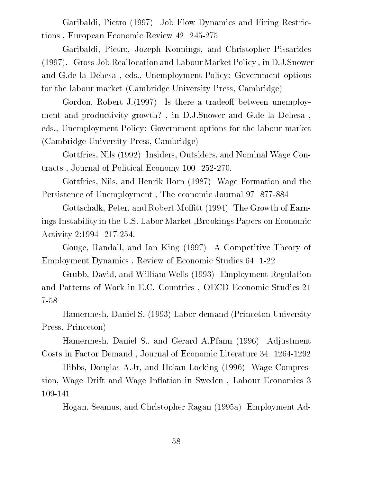Garibaldi, Pietro (1997) Job Flow Dynamics and Firing Restrictions , European Economic Review 42 245-275

Garibaldi, Pietro, Jozeph Konnings, and Christopher Pissarides (1997). Gross Job Reallocation and Labour Market Policy , in D.J.Snower and G.de la Dehesa , eds., Unemployment Policy: Government options for the labour market (Cambridge University Press, Cambridge)

Gordon, Robert J. $(1997)$  Is there a tradeoff between unemployment and productivity growth? , in D.J.Snower and G.de la Dehesa , eds., Unemployment Policy: Government options for the labour market (Cambridge University Press, Cambridge)

Gottfries, Nils (1992) Insiders, Outsiders, and Nominal Wage Contracts , Journal of Political Economy 100 252-270.

Gottfries, Nils, and Henrik Horn (1987) Wage Formation and the Persistence of Unemployment , The economic Journal 97 877-884

Gottschalk, Peter, and Robert Moffitt (1994) The Growth of Earnings Instability in the U.S. Labor Market ,Brookings Papers on Economic Activity 2:1994 217-254.

Gouge, Randall, and Ian King (1997) A Competitive Theory of Employment Dynamics , Review of Economic Studies 64 1-22

Grubb, David, and William Wells (1993) Employment Regulation and Patterns of Work in E.C. Countries , OECD Economic Studies 21 7-58

Hamermesh, Daniel S. (1993) Labor demand (Princeton University Press, Princeton)

Hamermesh, Daniel S., and Gerard A.Pfann (1996) Adjustment Costs in Factor Demand , Journal of Economic Literature 34 1264-1292

Hibbs, Douglas A.Jr, and Hokan Locking (1996) Wage Compression, Wage Drift and Wage Inflation in Sweden, Labour Economics 3 109-141

Hogan, Seamus, and Christopher Ragan (1995a) Employment Ad-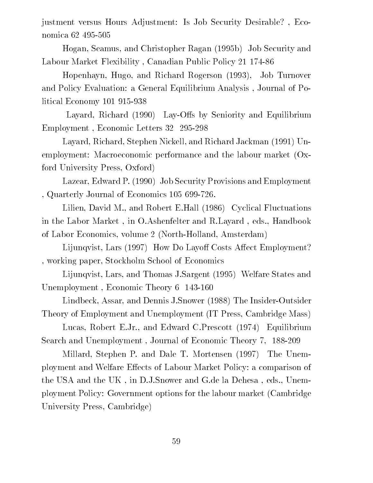justment versus Hours Adjustment: Is Job Security Desirable? , Economica 62 495-505

Hogan, Seamus, and Christopher Ragan (1995b) Job Security and Labour Market Flexibility , Canadian Public Policy 21 174-86

Hopenhayn, Hugo, and Richard Rogerson (1993), Job Turnover and Policy Evaluation: a General Equilibrium Analysis , Journal of Political Economy 101 915-938

Layard, Richard (1990) Lay-Offs by Seniority and Equilibrium Employment , Economic Letters 32 295-298

Layard, Richard, Stephen Nickell, and Richard Jackman (1991) Unemployment: Macroeconomic performance and the labour market (Oxford University Press, Oxford)

Lazear, Edward P. (1990) Job Security Provisions and Employment , Quarterly Journal of Economics 105 699-726.

Lilien, David M., and Robert E.Hall (1986) Cyclical Fluctuations in the Labor Market , in O.Ashenfelter and R.Layard , eds., Handbook of Labor Economics, volume 2 (North-Holland, Amsterdam)

Lijunqvist, Lars (1997) How Do Layoff Costs Affect Employment? , working paper, Stockholm School of Economics

Lijunqvist, Lars, and Thomas J.Sargent (1995) Welfare States and Unemployment , Economic Theory 6 143-160

Lindbeck, Assar, and Dennis J.Snower (1988) The Insider-Outsider Theory of Employment and Unemployment (IT Press, Cambridge Mass)

Lucas, Robert E.Jr., and Edward C.Prescott (1974) Equilibrium Search and Unemployment , Journal of Economic Theory 7, 188-209

Millard, Stephen P. and Dale T. Mortensen (1997) The Unemployment and Welfare Effects of Labour Market Policy: a comparison of the USA and the UK , in D.J.Snower and G.de la Dehesa , eds., Unemployment Policy: Government options for the labour market (Cambridge University Press, Cambridge)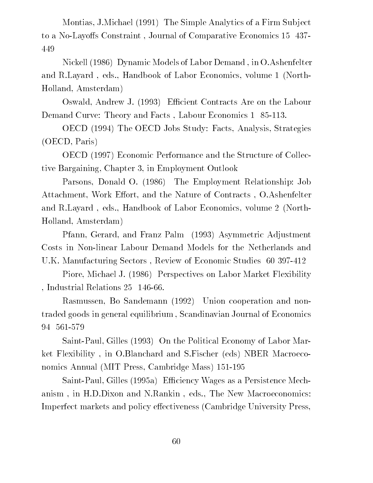Montias, J.Michael (1991) The Simple Analytics of a Firm Sub ject to a No-Layoffs Constraint, Journal of Comparative Economics 15 437-449

Nickell (1986) Dynamic Models of Labor Demand , in O.Ashenfelter and R.Layard , eds., Handbook of Labor Economics, volume 1 (North-Holland, Amsterdam)

Oswald, Andrew J. (1993) Efficient Contracts Are on the Labour Demand Curve: Theory and Facts , Labour Economics 1 85-113.

OECD (1994) The OECD Jobs Study: Facts, Analysis, Strategies (OECD, Paris)

OECD (1997) Economic Performance and the Structure of Collective Bargaining, Chapter 3, in Employment Outlook

Parsons, Donald O. (1986) The Employment Relationship: Job Attachment, Work Effort, and the Nature of Contracts, O.Ashenfelter and R.Layard , eds., Handbook of Labor Economics, volume 2 (North-Holland, Amsterdam)

Pfann, Gerard, and Franz Palm (1993) Asymmetric Adjustment Costs in Non-linear Labour Demand Models for the Netherlands and U.K. Manufacturing Sectors , Review of Economic Studies 60 397-412

Piore, Michael J. (1986) Perspectives on Labor Market Flexibility , Industrial Relations 25 146-66.

Rasmussen, Bo Sandemann (1992) Union cooperation and nontraded goods in general equilibrium , Scandinavian Journal of Economics 94 561-579

Saint-Paul, Gilles (1993) On the Political Economy of Labor Market Flexibility , in O.Blanchard and S.Fischer (eds) NBER Macroeconomics Annual (MIT Press, Cambridge Mass) 151-195

Saint-Paul, Gilles (1995a) Efficiency Wages as a Persistence Mechanism , in H.D.Dixon and N.Rankin , eds., The New Macroeconomics: Imperfect markets and policy effectiveness (Cambridge University Press,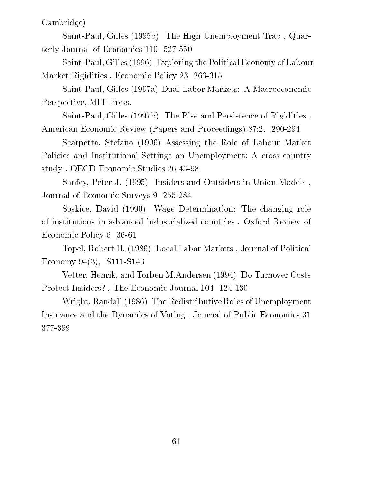Cambridge)

Saint-Paul, Gilles (1995b) The High Unemployment Trap , Quarterly Journal of Economics 110 527-550

Saint-Paul, Gilles (1996) Exploring the Political Economy of Labour Market Rigidities , Economic Policy 23 263-315

Saint-Paul, Gilles (1997a) Dual Labor Markets: A Macroeconomic Perspective, MIT Press.

Saint-Paul, Gilles (1997b) The Rise and Persistence of Rigidities , American Economic Review (Papers and Proceedings) 87:2, 290-294

Scarpetta, Stefano (1996) Assessing the Role of Labour Market Policies and Institutional Settings on Unemployment: A cross-country study , OECD Economic Studies 26 43-98

Sanfey, Peter J. (1995) Insiders and Outsiders in Union Models , Journal of Economic Surveys 9 255-284

Soskice, David (1990) Wage Determination: The changing role of institutions in advanced industrialized countries , Oxford Review of Economic Policy 6 36-61

Topel, Robert H. (1986) Local Labor Markets , Journal of Political Economy 94(3), S111-S143

Vetter, Henrik, and Torben M.Andersen (1994) Do Turnover Costs Protect Insiders? , The Economic Journal 104 124-130

Wright, Randall (1986) The Redistributive Roles of Unemployment Insurance and the Dynamics of Voting , Journal of Public Economics 31 377-399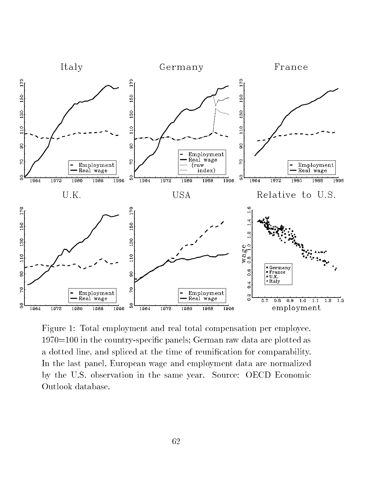

Figure 1: Total employment and real total compensation per employee. 1970=100 in the country-specic panels; German raw data are plotted as a dotted line, and spliced at the time of reunication for comparability. In the last panel, European wage and employment data are normalized by the U.S. observation in the same year. Source: OECD Economic Outlook database.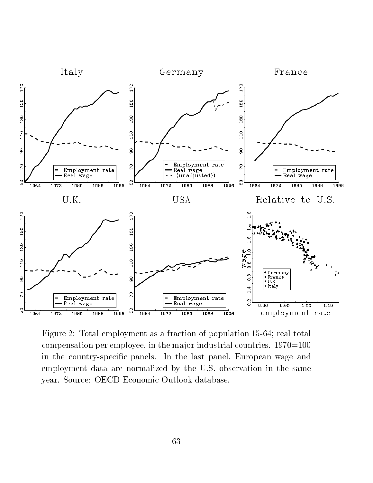

Figure 2: Total employment as a fraction of population 15-64; real total compensation per employee, in the major industrial countries.  $1970=100$ in the country-specic panels. In the last panel, European wage and employment data are normalized by the U.S. observation in the same year. Source: OECD Economic Outlook database.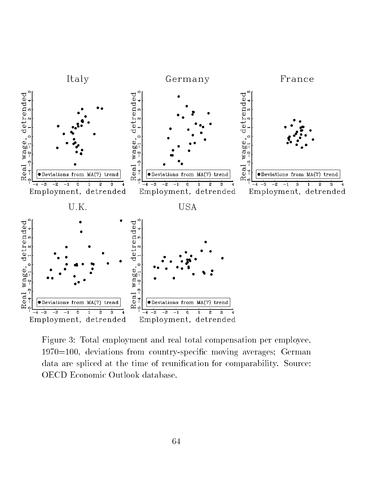

Figure 3: Total employment and real total compensation per employee, 1970=100, deviations from country-specic moving averages; German data are spliced at the time of reunification for comparability. Source: OECD Economic Outlook database.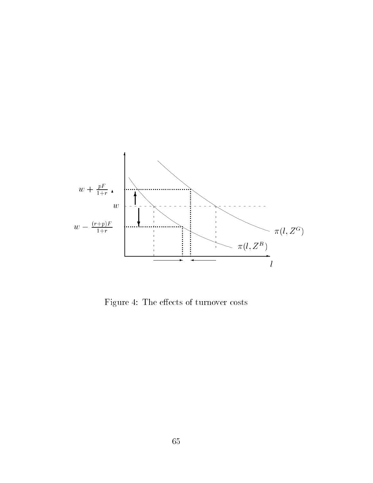

Figure 4: The effects of turnover costs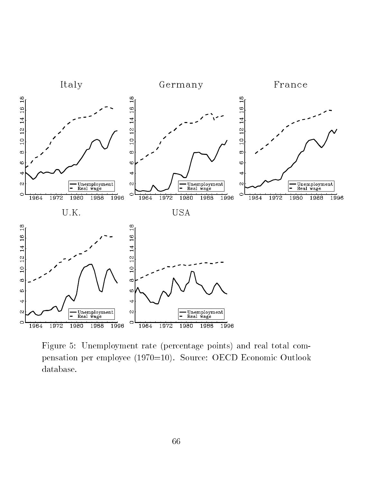

Figure 5: Unemployment rate (percentage points) and real total compensation per employee (1970=10). Source: OECD Economic Outlook database.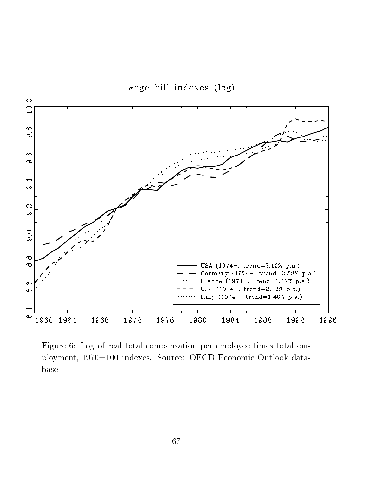



Figure 6: Log of real total compensation per employee times total employment, 1970=100 indexes. Source: OECD Economic Outlook database.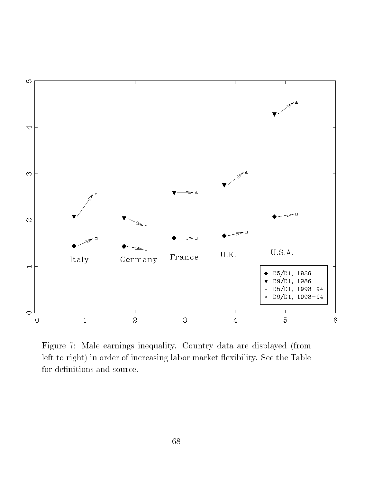

Figure 7: Male earnings inequality. Country data are displayed (from left to right) in order of increasing labor market flexibility. See the Table for definitions and source.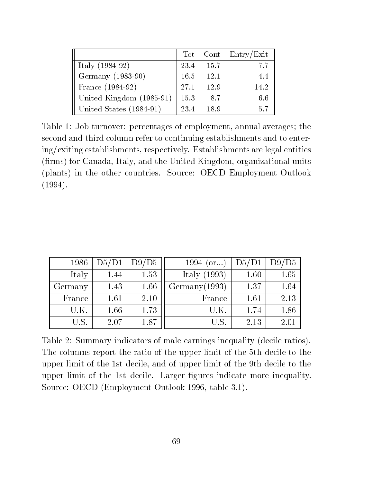|                          |      |           | Tot Cont Entry/Exit |
|--------------------------|------|-----------|---------------------|
| Italy $(1984-92)$        |      | 23.4 15.7 | 7.7                 |
| Germany (1983-90)        | 16.5 | 12.1      | 4.4                 |
| France (1984-92)         | 27.1 | 12.9      | 14.2                |
| United Kingdom (1985-91) | 15.3 | 8.7       | 6.6                 |
| United States (1984-91)  | 23.4 | 18.9      | 5.7                 |

Table 1: Job turnover: percentages of employment, annual averages; the second and third column refer to continuing establishments and to entering/exiting establishments, respectively. Establishments are legal entities (firms) for Canada, Italy, and the United Kingdom, organizational units (plants) in the other countries. Source: OECD Employment Outlook (1994).

| 1986    | D5/D1 | D9/D5 | 1994 (or       | D5/D1 | D9/D5 |
|---------|-------|-------|----------------|-------|-------|
| Italy   | 1.44  | 1.53  | Italy $(1993)$ | 1.60  | 1.65  |
| Germany | 1.43  | 1.66  | Germany(1993)  | 1.37  | 1.64  |
| France  | 1.61  | 2.10  | France         | 1.61  | 2.13  |
| U.K.    | 1.66  | 1.73  | U.K.           | 1.74  | 1.86  |
| U.S.    | 2.07  | 1.87  | U.S.           | 2.13  | 2.01  |

Table 2: Summary indicators of male earnings inequality (decile ratios). The columns report the ratio of the upper limit of the 5th decile to the upper limit of the 1st decile, and of upper limit of the 9th decile to the upper limit of the 1st decile. Larger figures indicate more inequality. Source: OECD (Employment Outlook 1996, table 3.1).